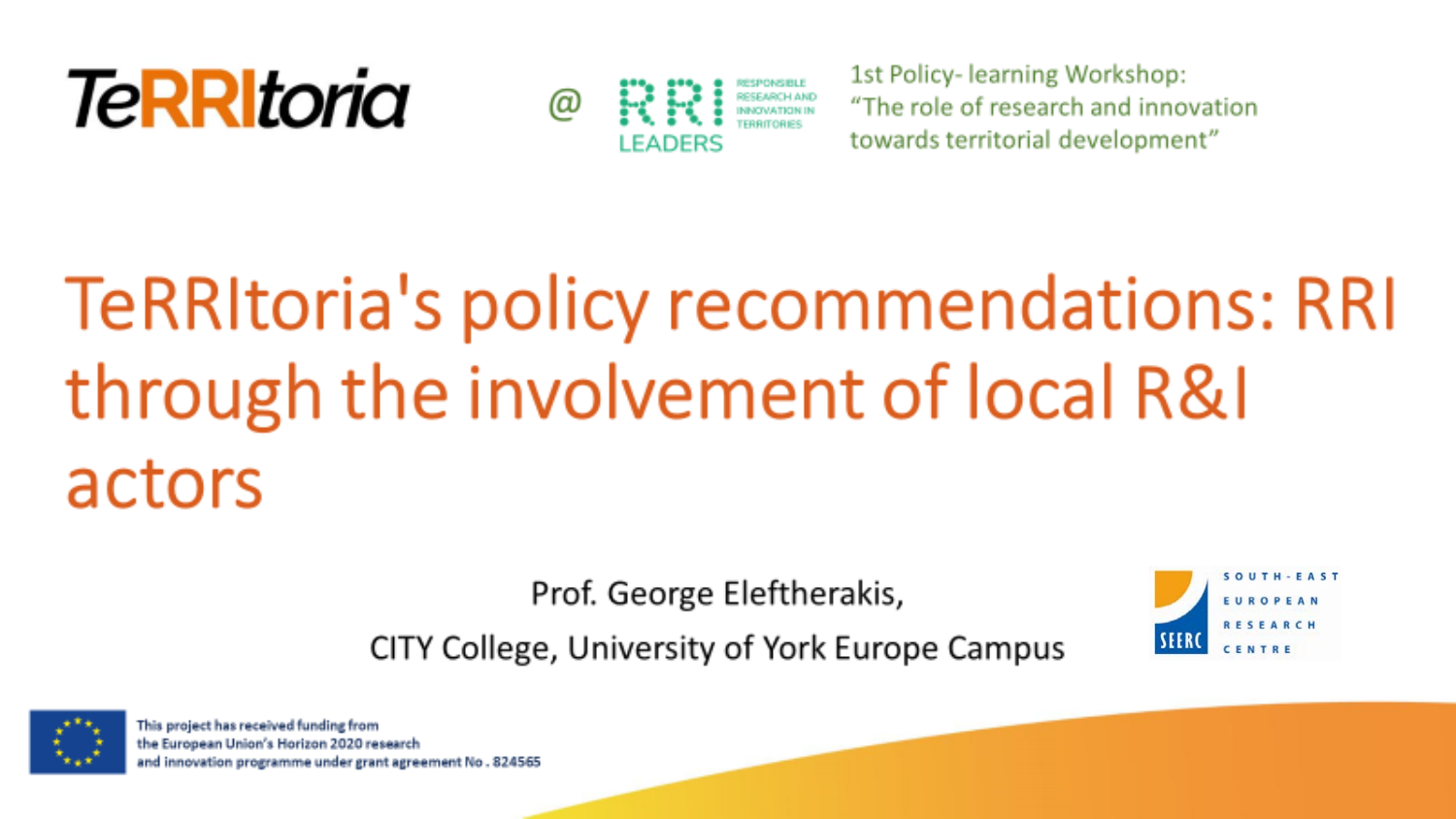



1st Policy-learning Workshop: "The role of research and innovation towards territorial development"

## TeRRItoria's policy recommendations: RRI through the involvement of local R&I actors

Prof. George Eleftherakis,

UTH-FAST

CITY College, University of York Europe Campus



This project has received funding from the European Union's Horizon 2020 research and innovation programme under grant agreement No. 824565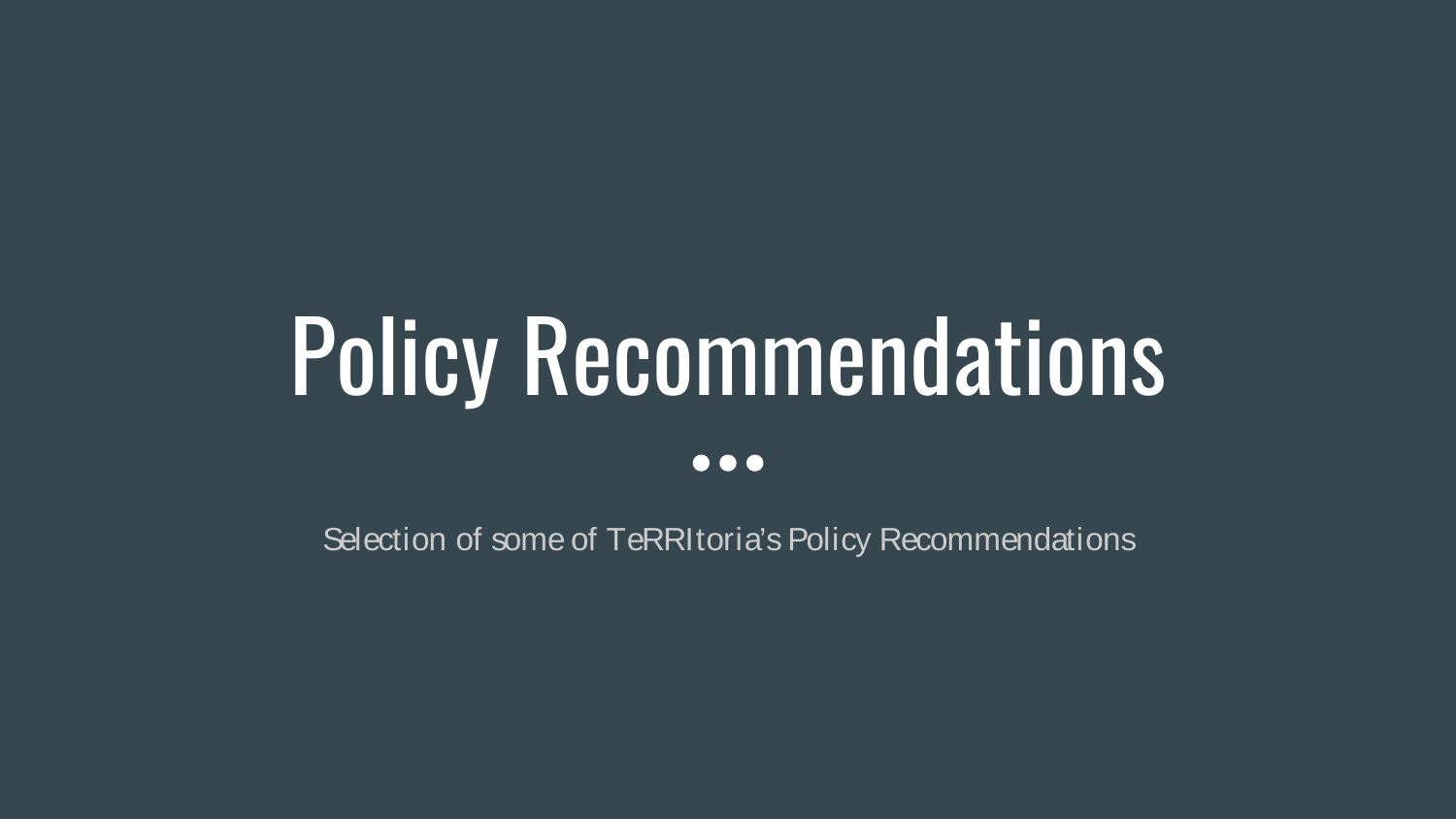## Policy Recommendations  $\bullet\bullet\bullet$

Selection of some of TeRRItoria's Policy Recommendations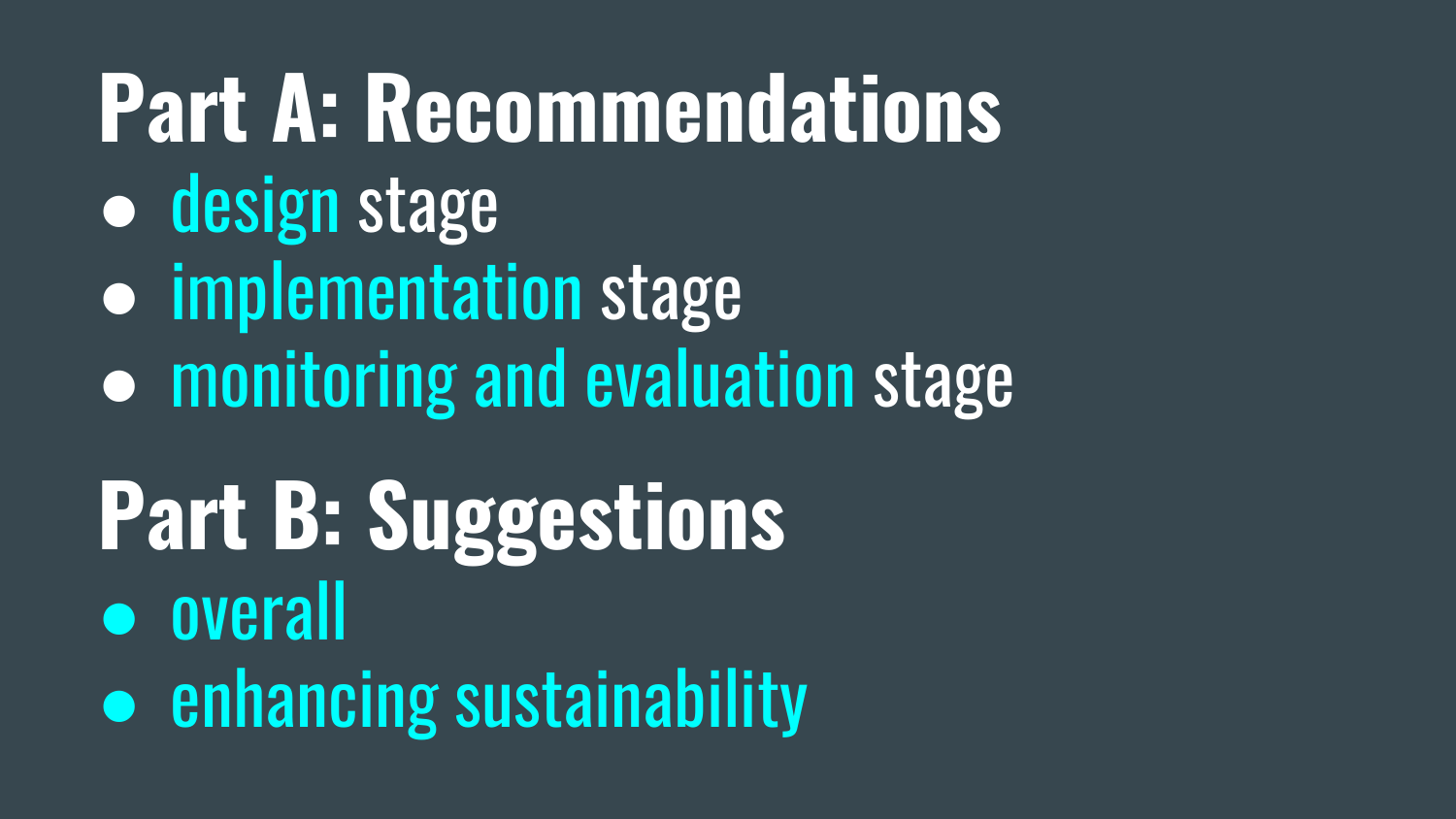# **Part A: Recommendations** ● design stage ● implementation stage ● monitoring and evaluation stage **Part B: Suggestions** ● overall **• enhancing sustainability**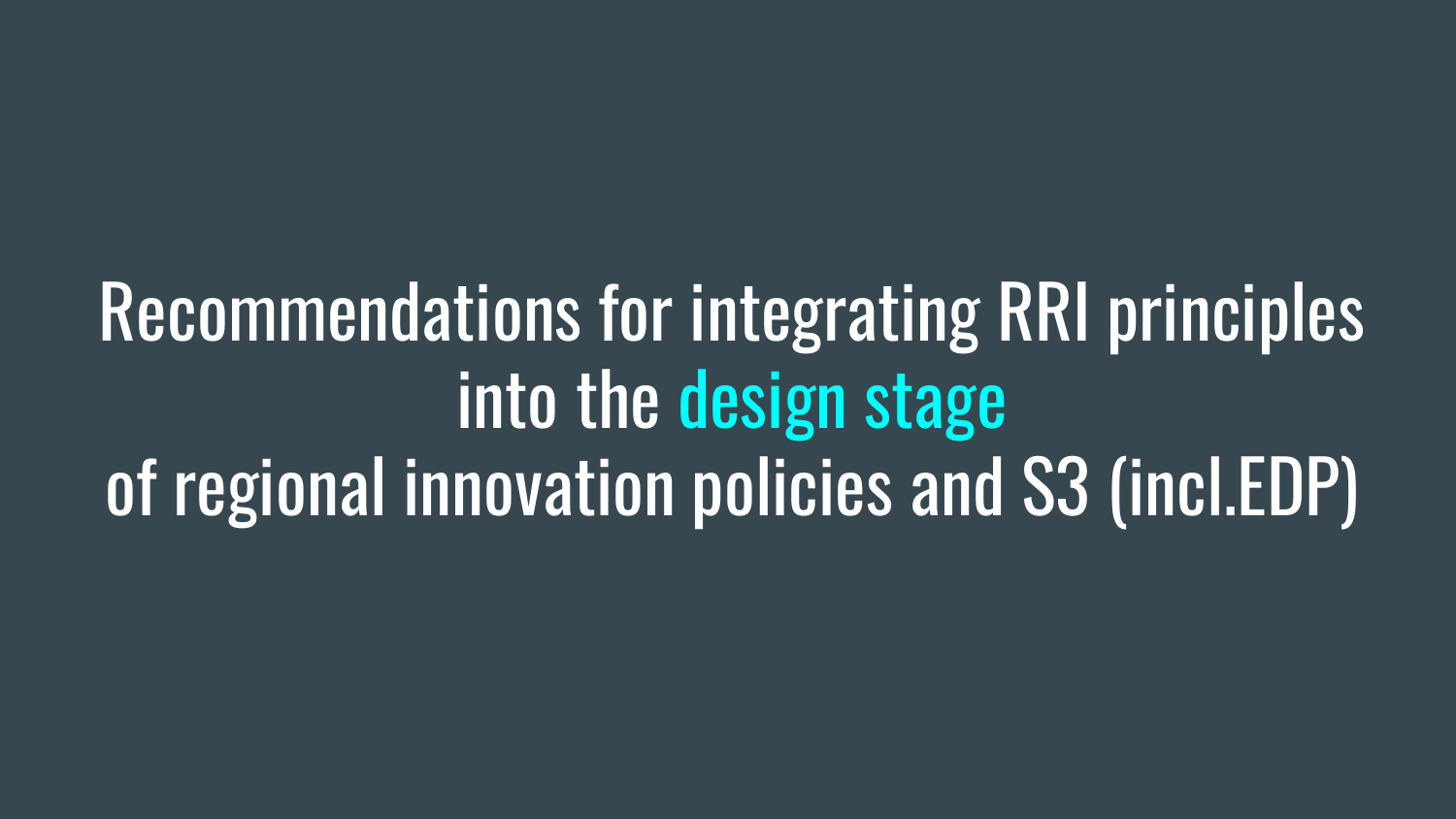## Recommendations for integrating RRI principles into the design stage of regional innovation policies and S3 (incl.EDP)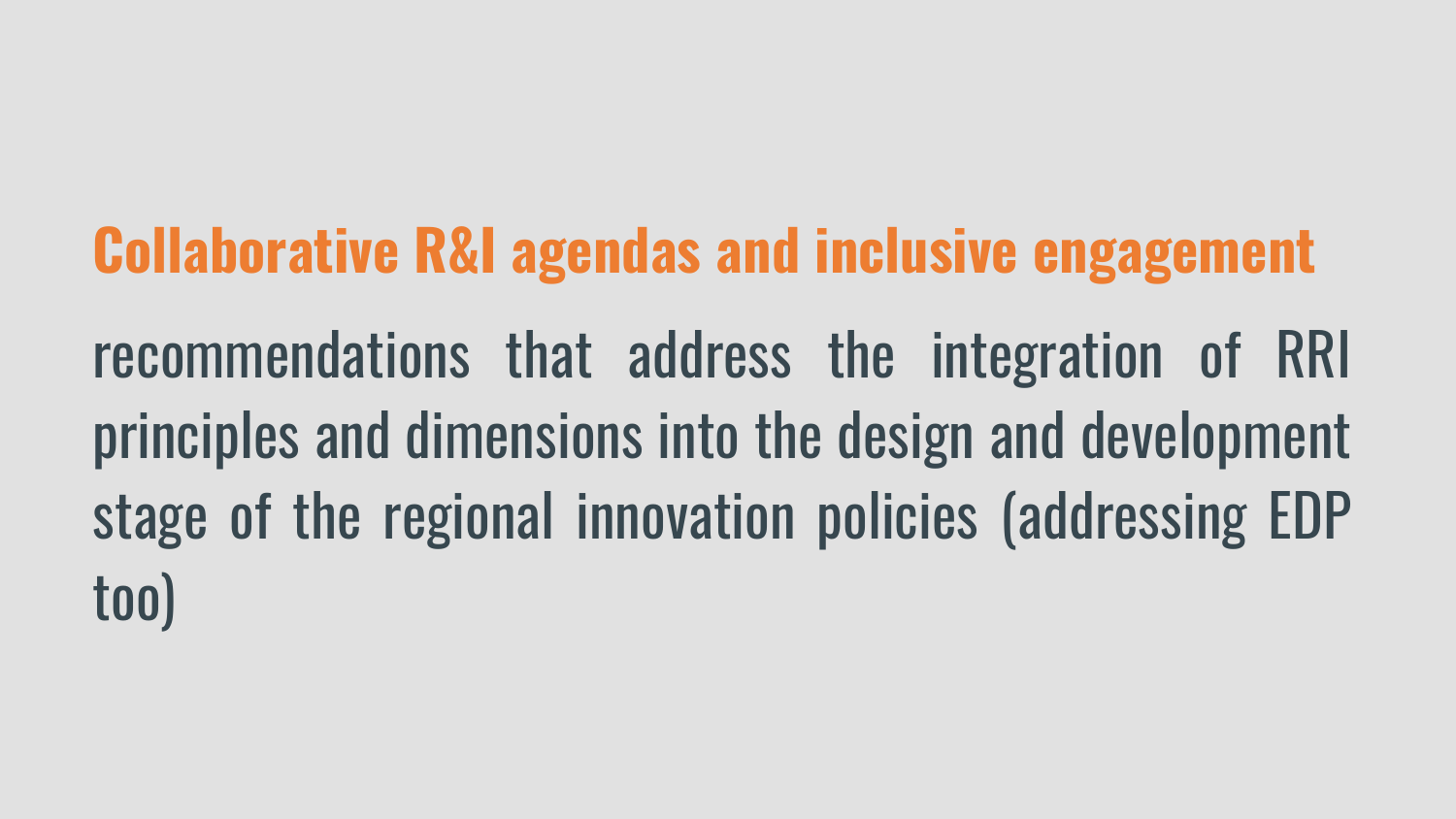### **Collaborative R&I agendas and inclusive engagement**

recommendations that address the integration of RRI principles and dimensions into the design and development stage of the regional innovation policies (addressing EDP too)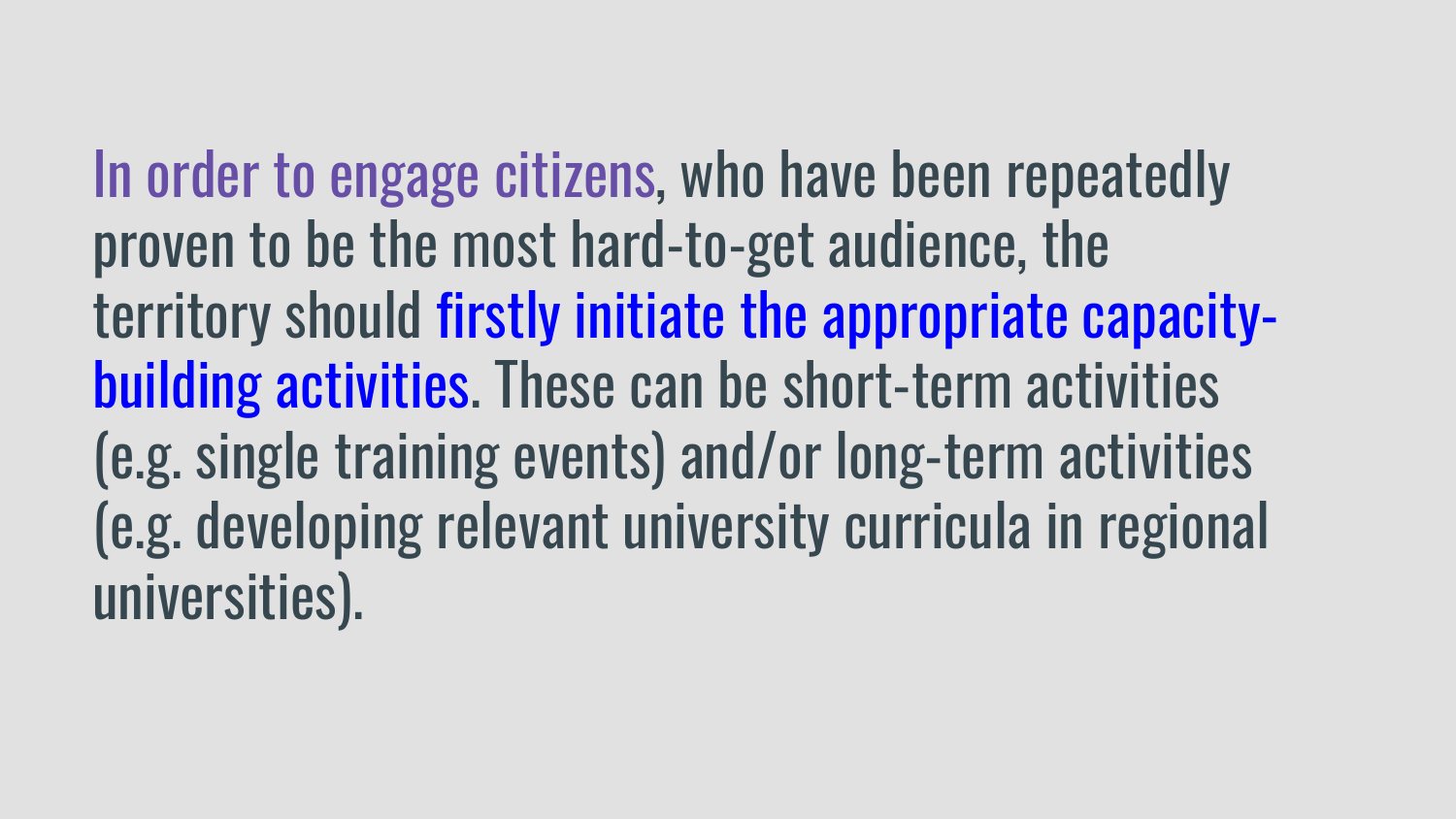In order to engage citizens, who have been repeatedly proven to be the most hard-to-get audience, the territory should firstly initiate the appropriate capacitybuilding activities. These can be short-term activities (e.g. single training events) and/or long-term activities (e.g. developing relevant university curricula in regional universities).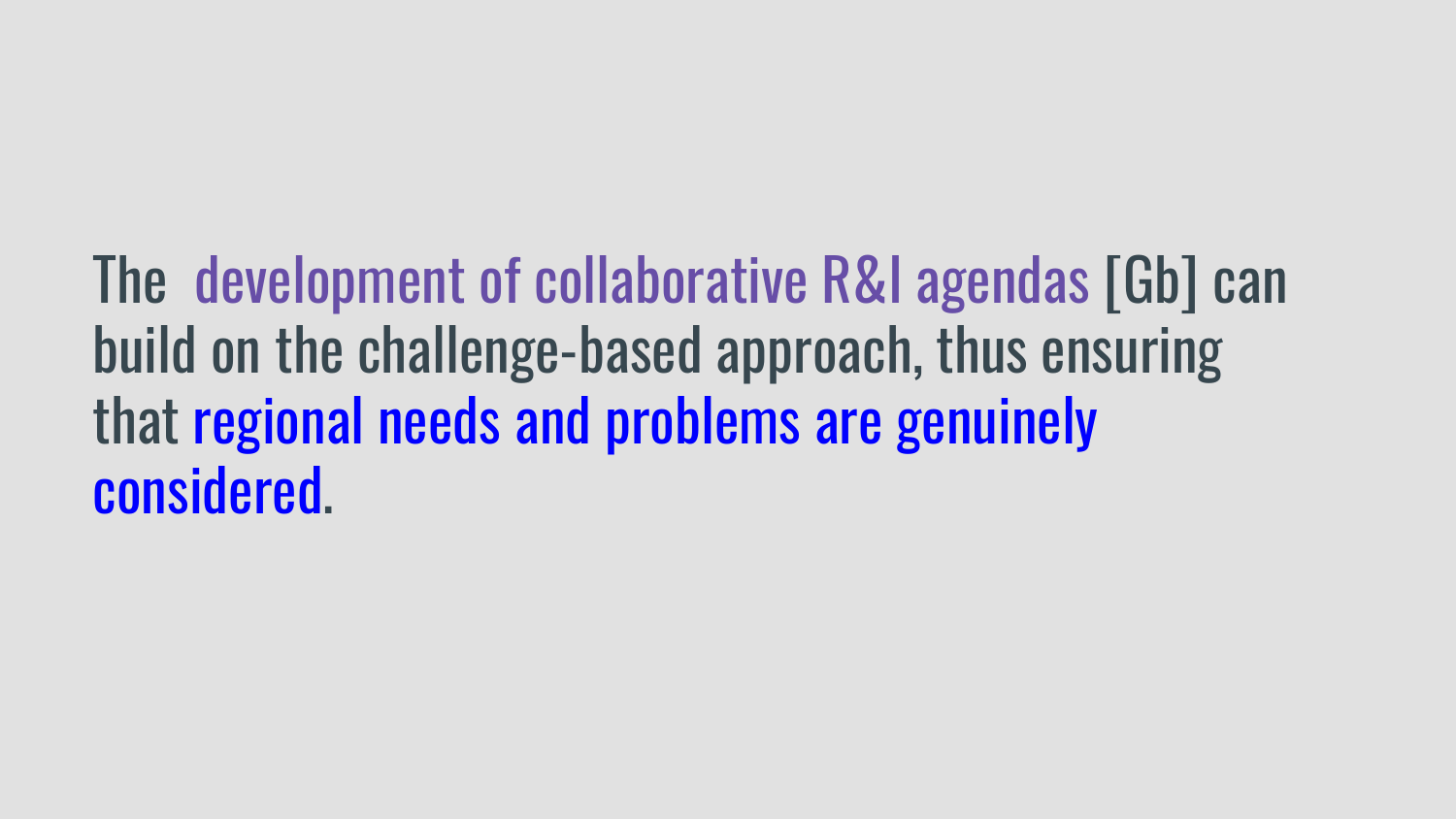The development of collaborative R&I agendas [Gb] can build on the challenge-based approach, thus ensuring that regional needs and problems are genuinely considered.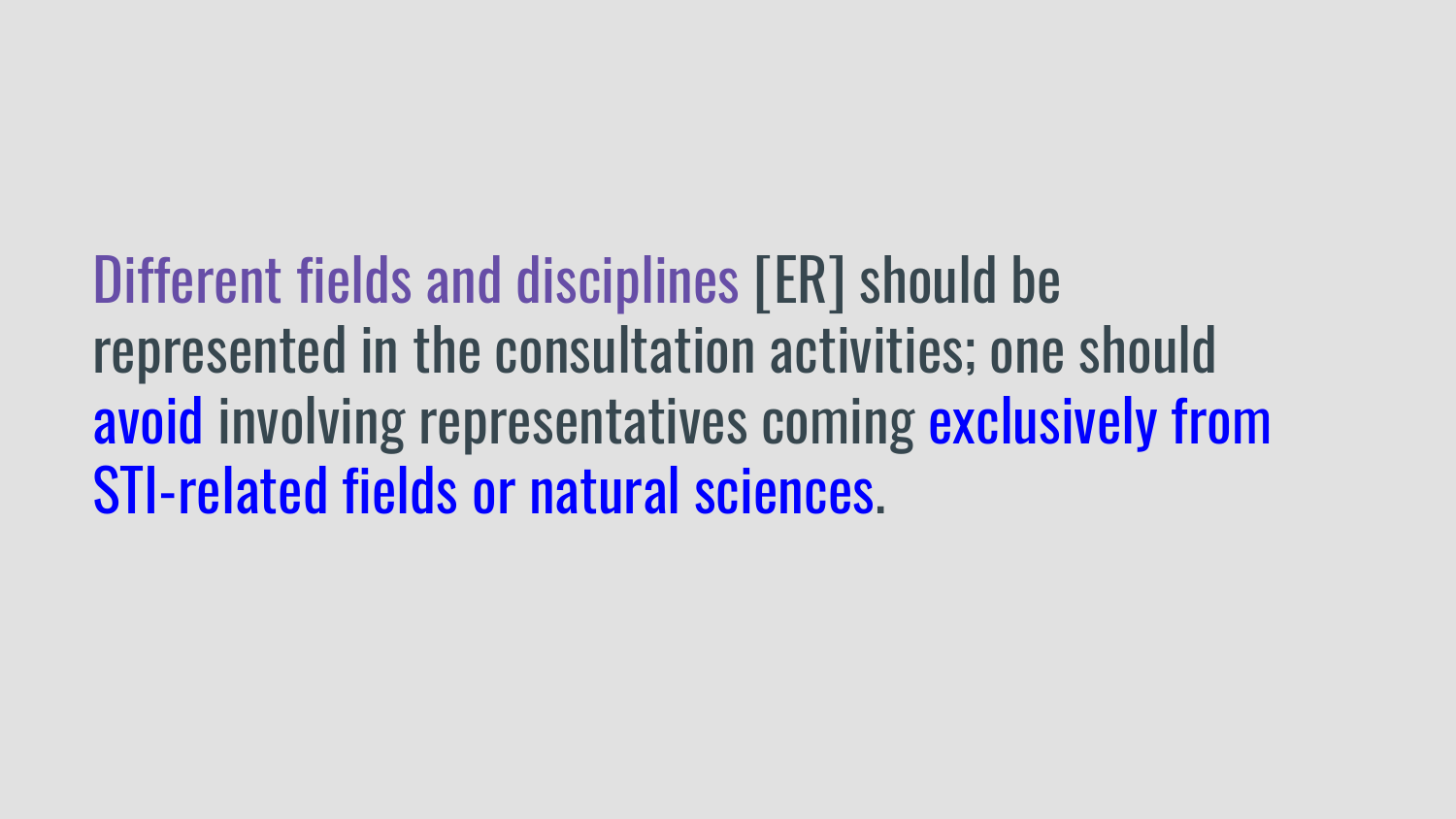Different fields and disciplines [ER] should be represented in the consultation activities; one should avoid involving representatives coming exclusively from STI-related fields or natural sciences.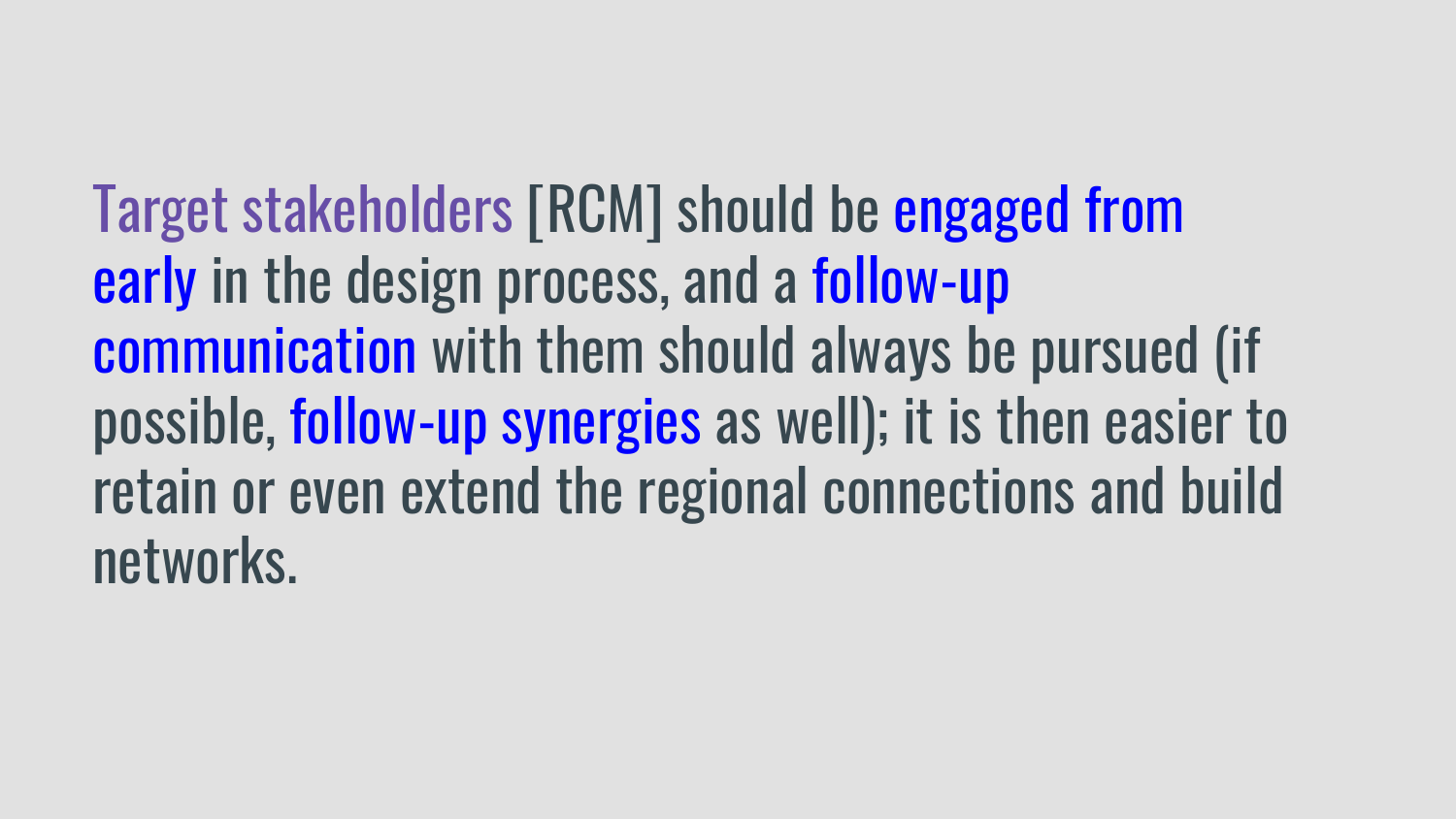Target stakeholders [RCM] should be engaged from early in the design process, and a follow-up communication with them should always be pursued (if possible, follow-up synergies as well); it is then easier to retain or even extend the regional connections and build networks.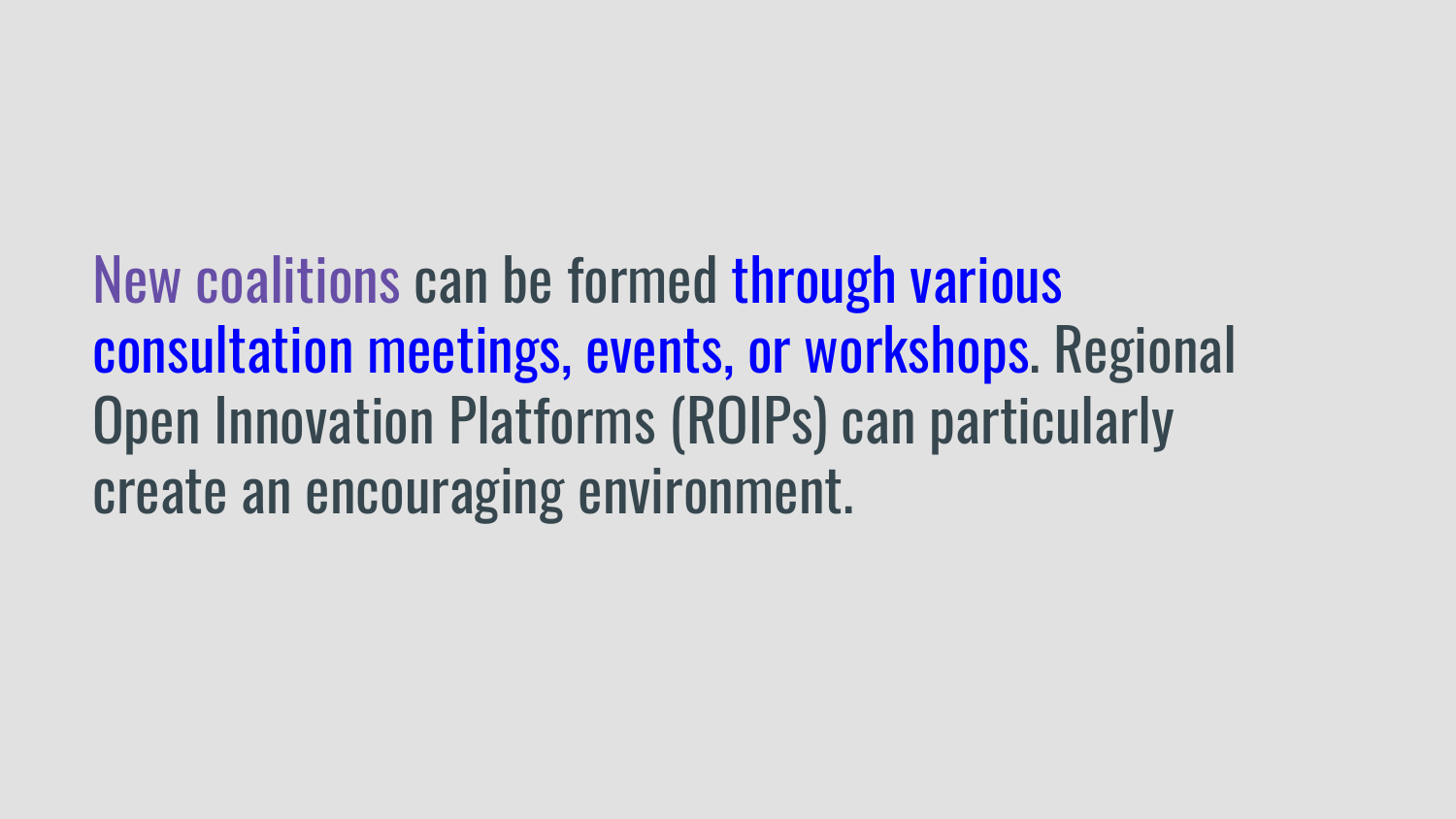New coalitions can be formed through various consultation meetings, events, or workshops. Regional Open Innovation Platforms (ROIPs) can particularly create an encouraging environment.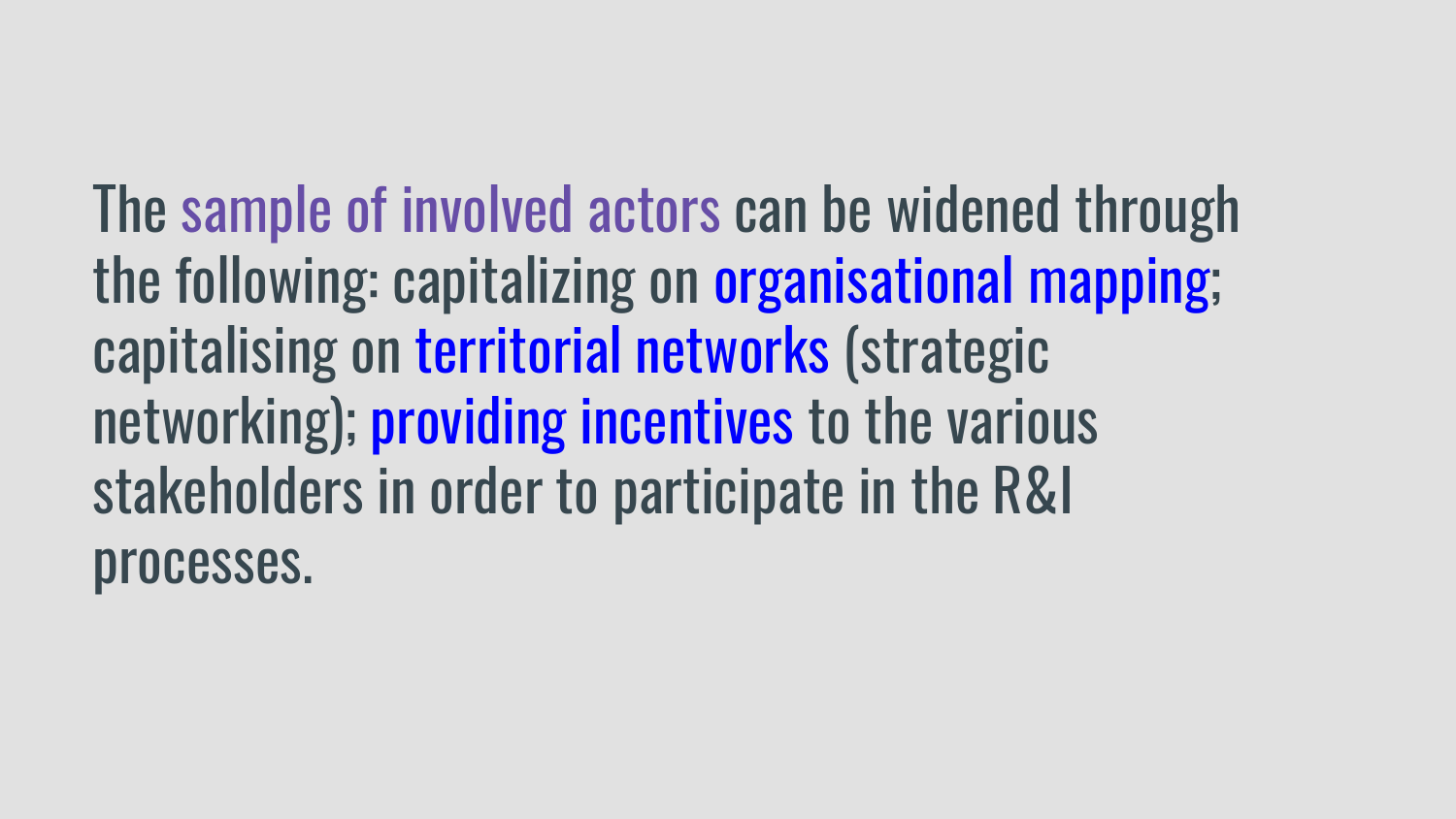The sample of involved actors can be widened through the following: capitalizing on organisational mapping; capitalising on territorial networks (strategic networking); providing incentives to the various stakeholders in order to participate in the R&I processes.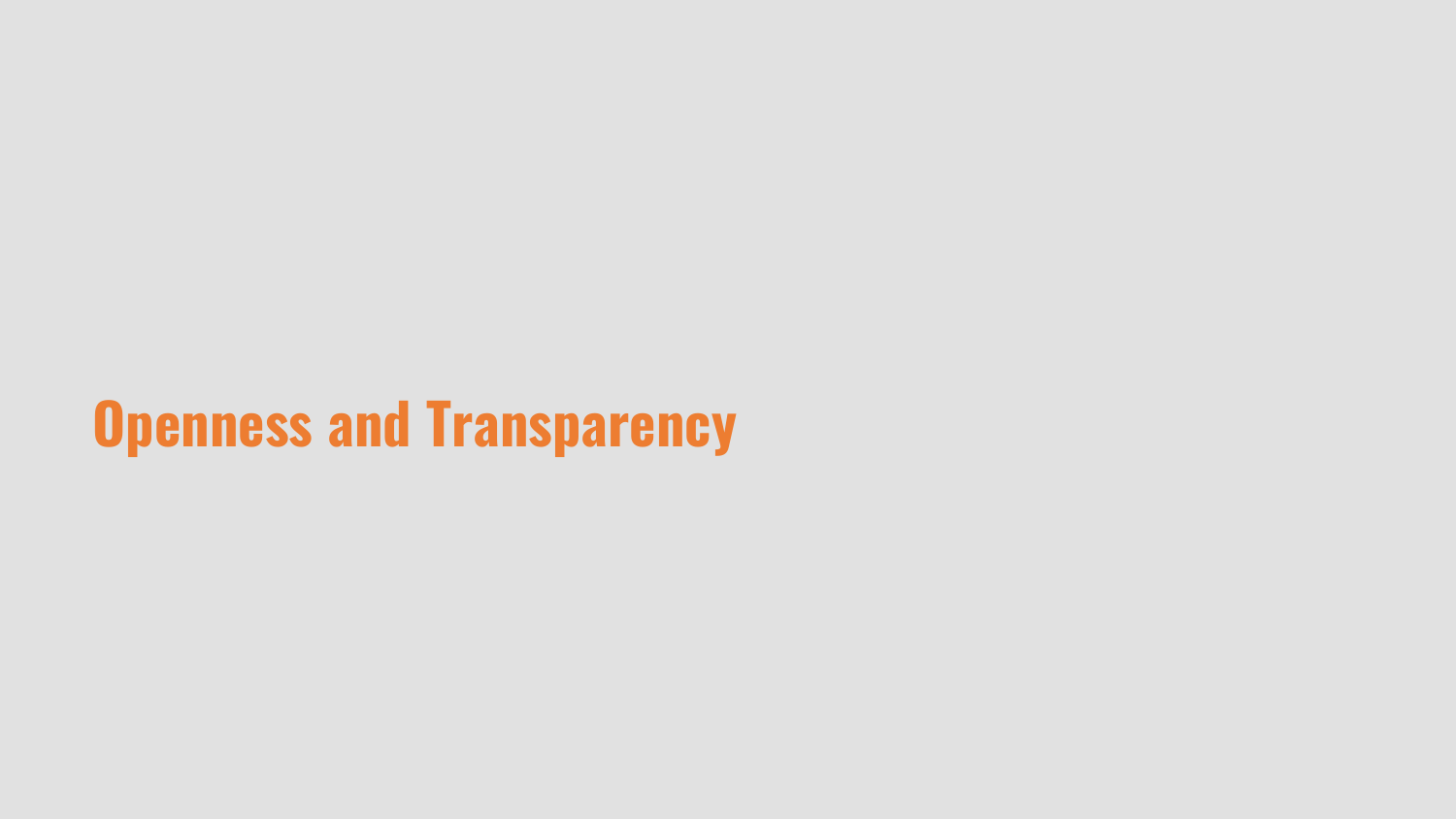#### **Openness and Transparency**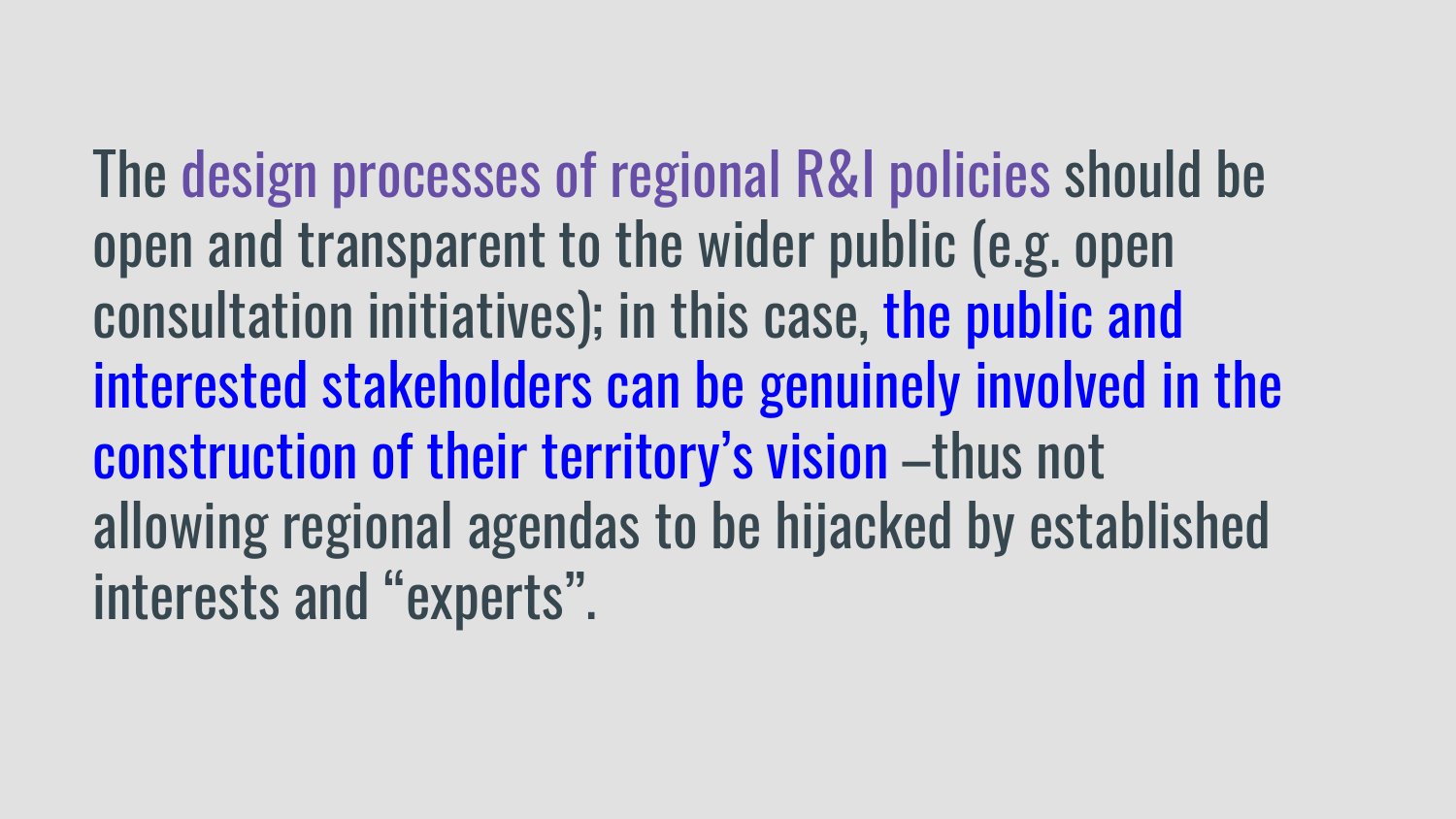The design processes of regional R&I policies should be open and transparent to the wider public (e.g. open consultation initiatives); in this case, the public and interested stakeholders can be genuinely involved in the construction of their territory's vision –thus not allowing regional agendas to be hijacked by established interests and "experts".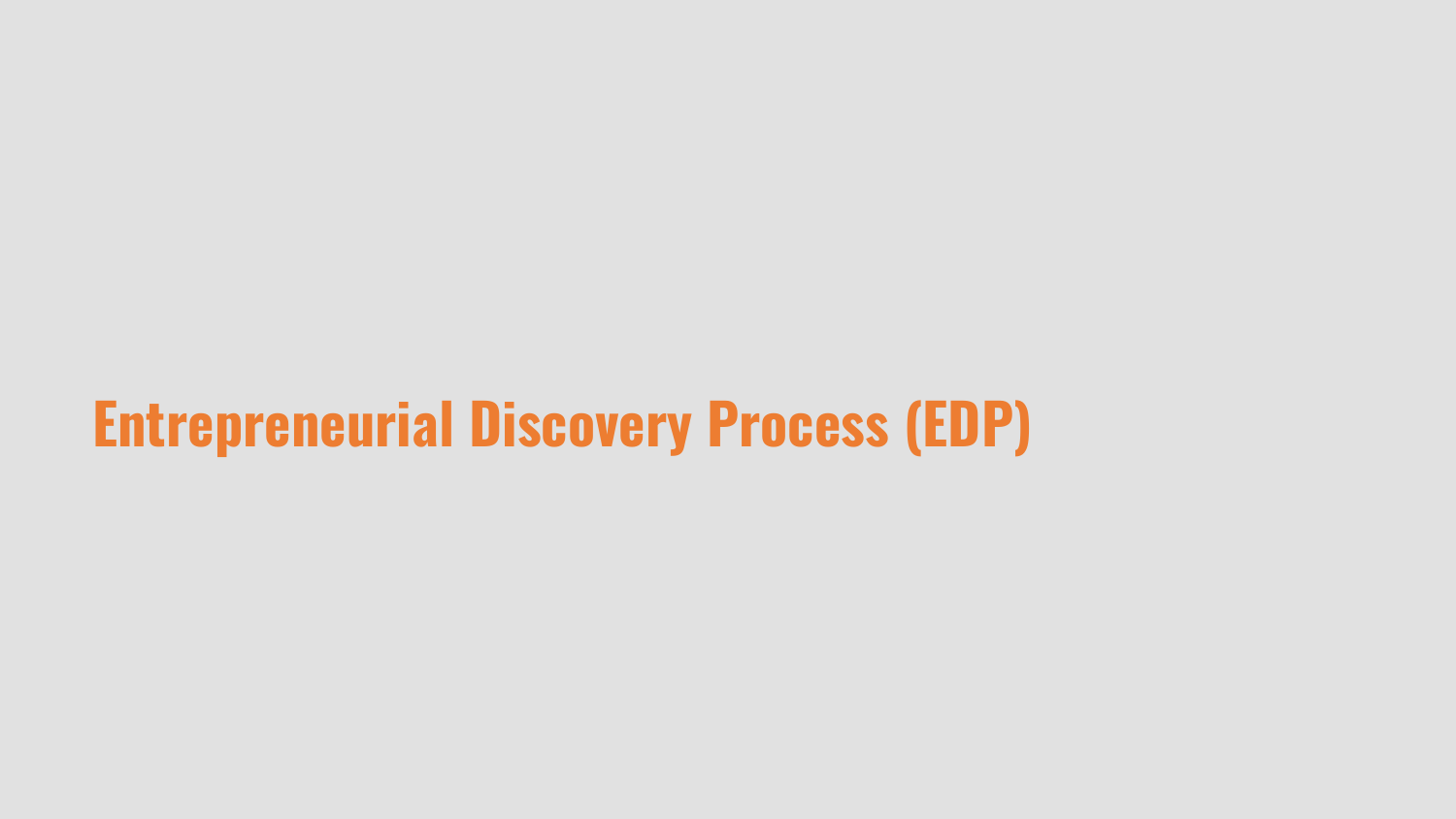#### **Entrepreneurial Discovery Process (EDP)**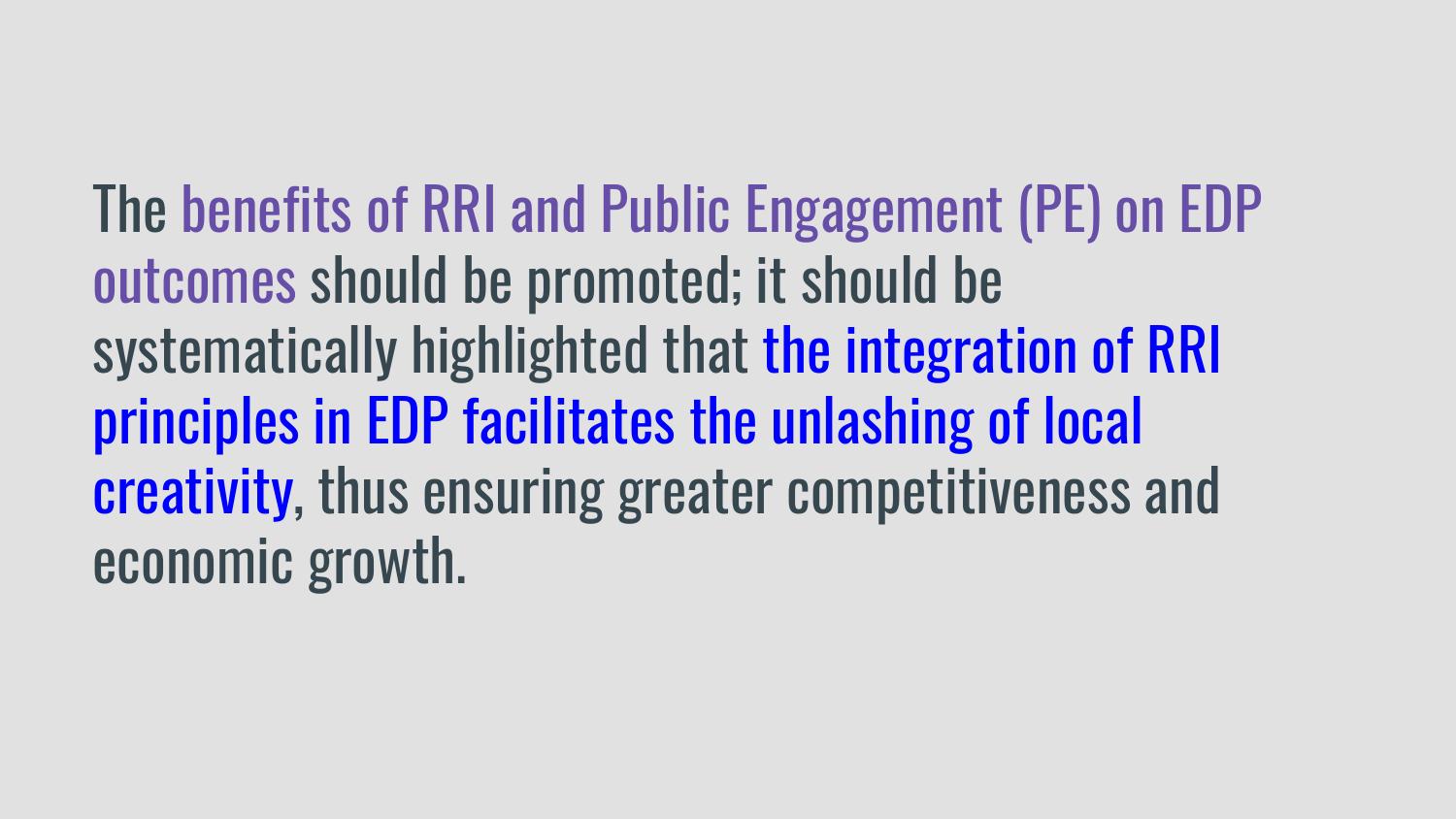The benefits of RRI and Public Engagement (PE) on EDP outcomes should be promoted; it should be systematically highlighted that the integration of RRI principles in EDP facilitates the unlashing of local creativity, thus ensuring greater competitiveness and economic growth.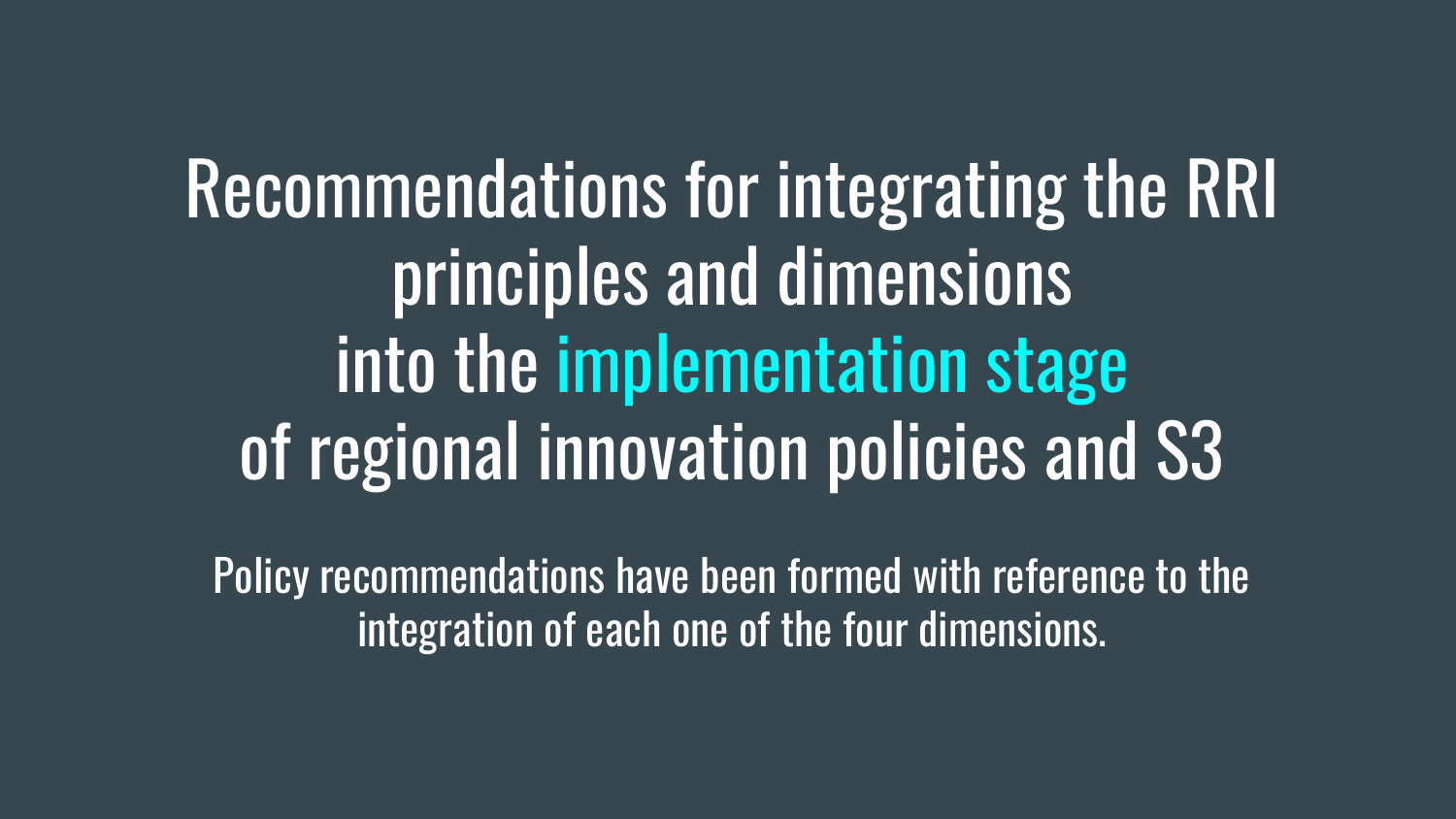Recommendations for integrating the RRI principles and dimensions into the implementation stage of regional innovation policies and S3

Policy recommendations have been formed with reference to the integration of each one of the four dimensions.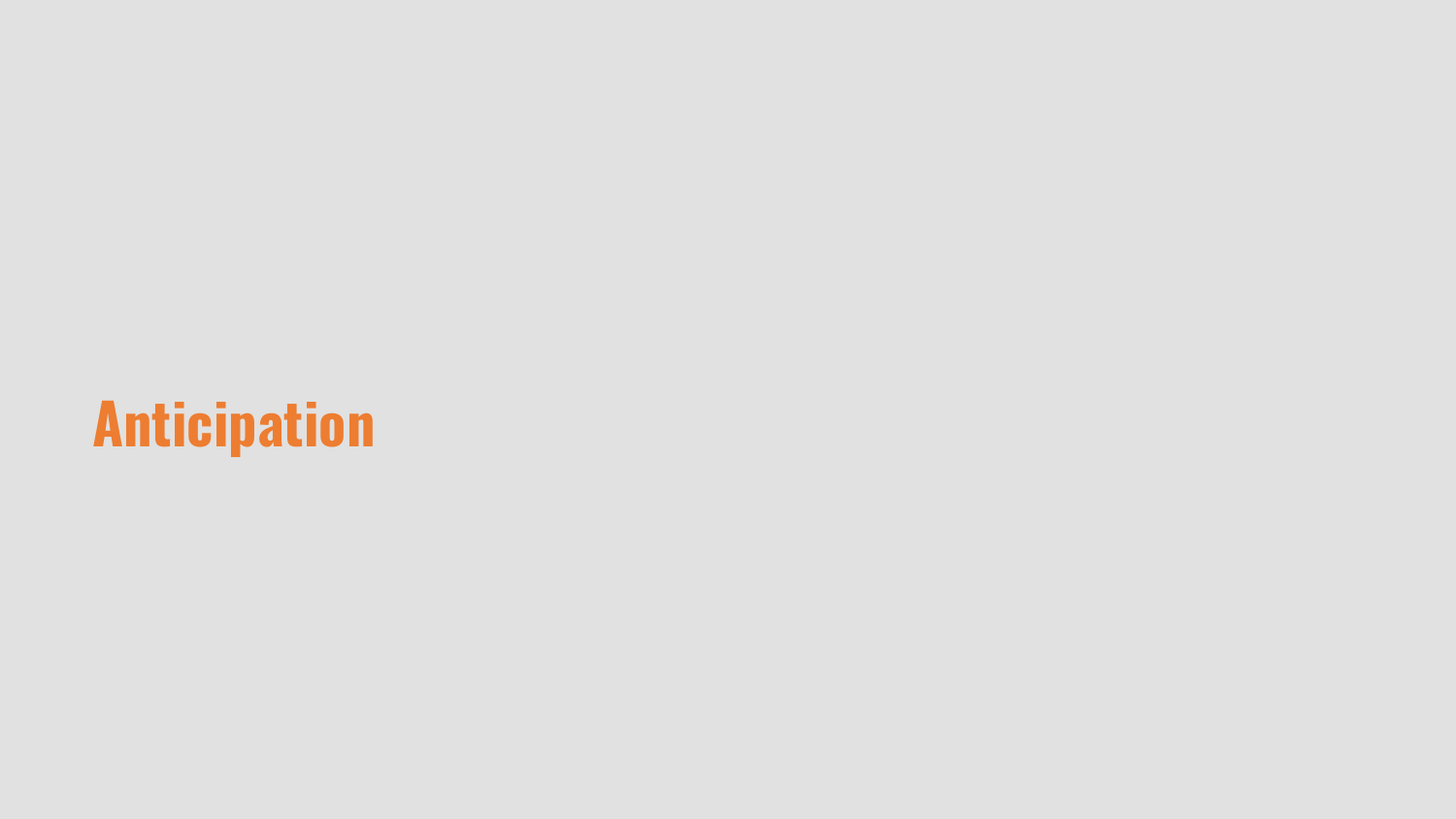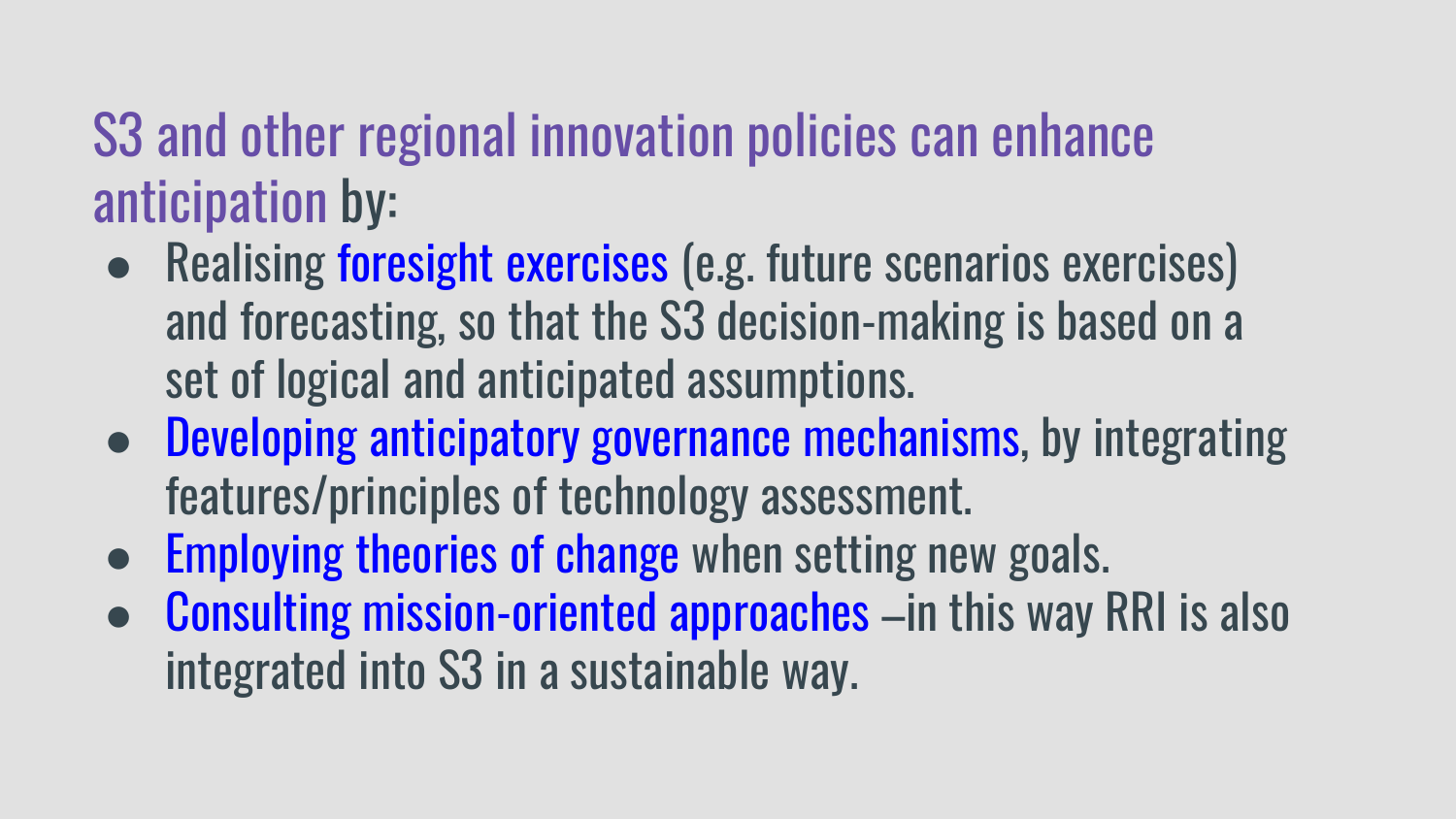#### S3 and other regional innovation policies can enhance anticipation by:

- Realising foresight exercises (e.g. future scenarios exercises) and forecasting, so that the S3 decision-making is based on a set of logical and anticipated assumptions.
- Developing anticipatory governance mechanisms, by integrating features/principles of technology assessment.
- Employing theories of change when setting new goals.
- Consulting mission-oriented approaches –in this way RRI is also integrated into S3 in a sustainable way.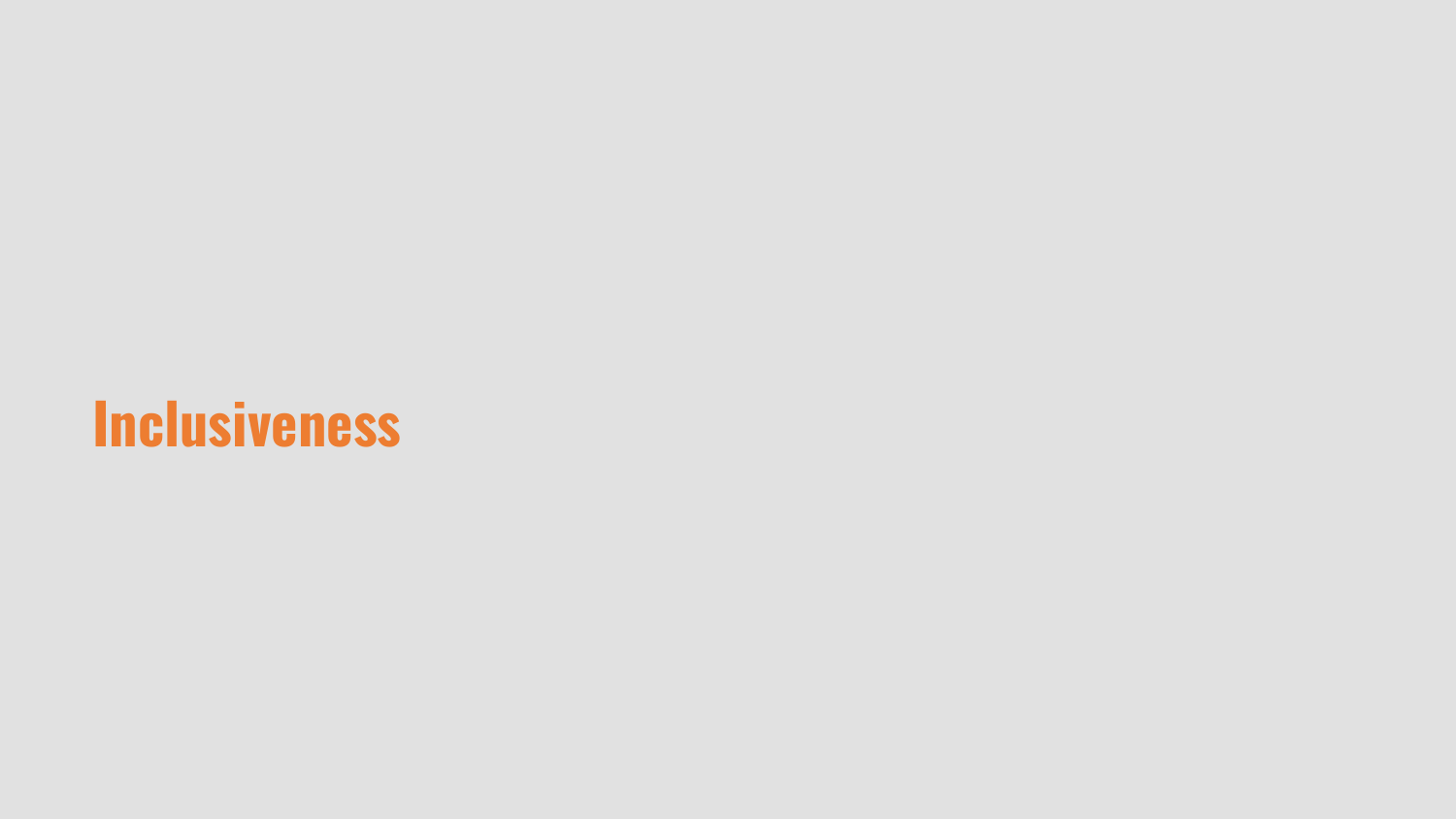#### **Inclusiveness**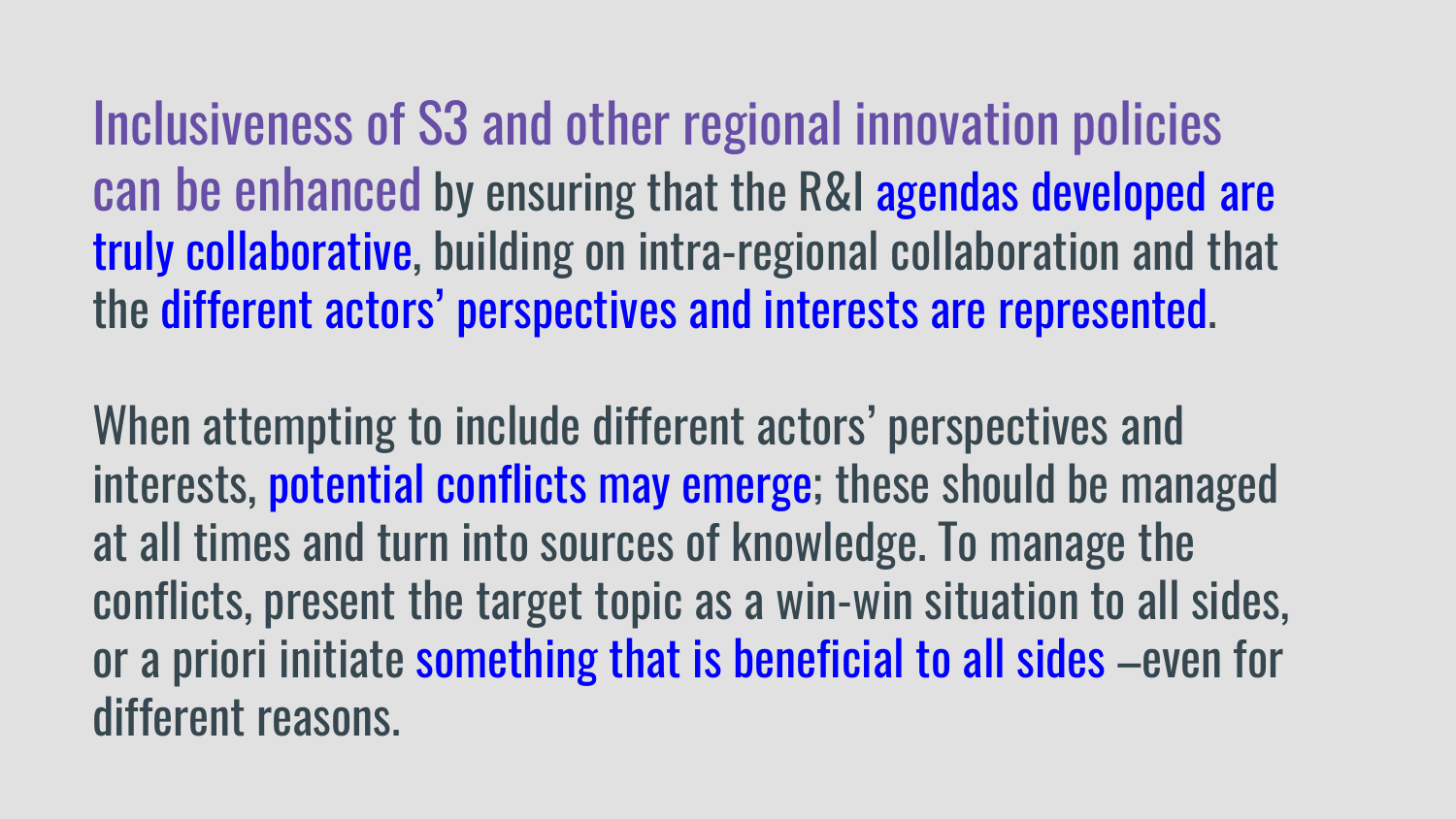Inclusiveness of S3 and other regional innovation policies can be enhanced by ensuring that the R&I agendas developed are truly collaborative, building on intra-regional collaboration and that the different actors' perspectives and interests are represented.

When attempting to include different actors' perspectives and interests, potential conflicts may emerge; these should be managed at all times and turn into sources of knowledge. To manage the conflicts, present the target topic as a win-win situation to all sides, or a priori initiate something that is beneficial to all sides –even for different reasons.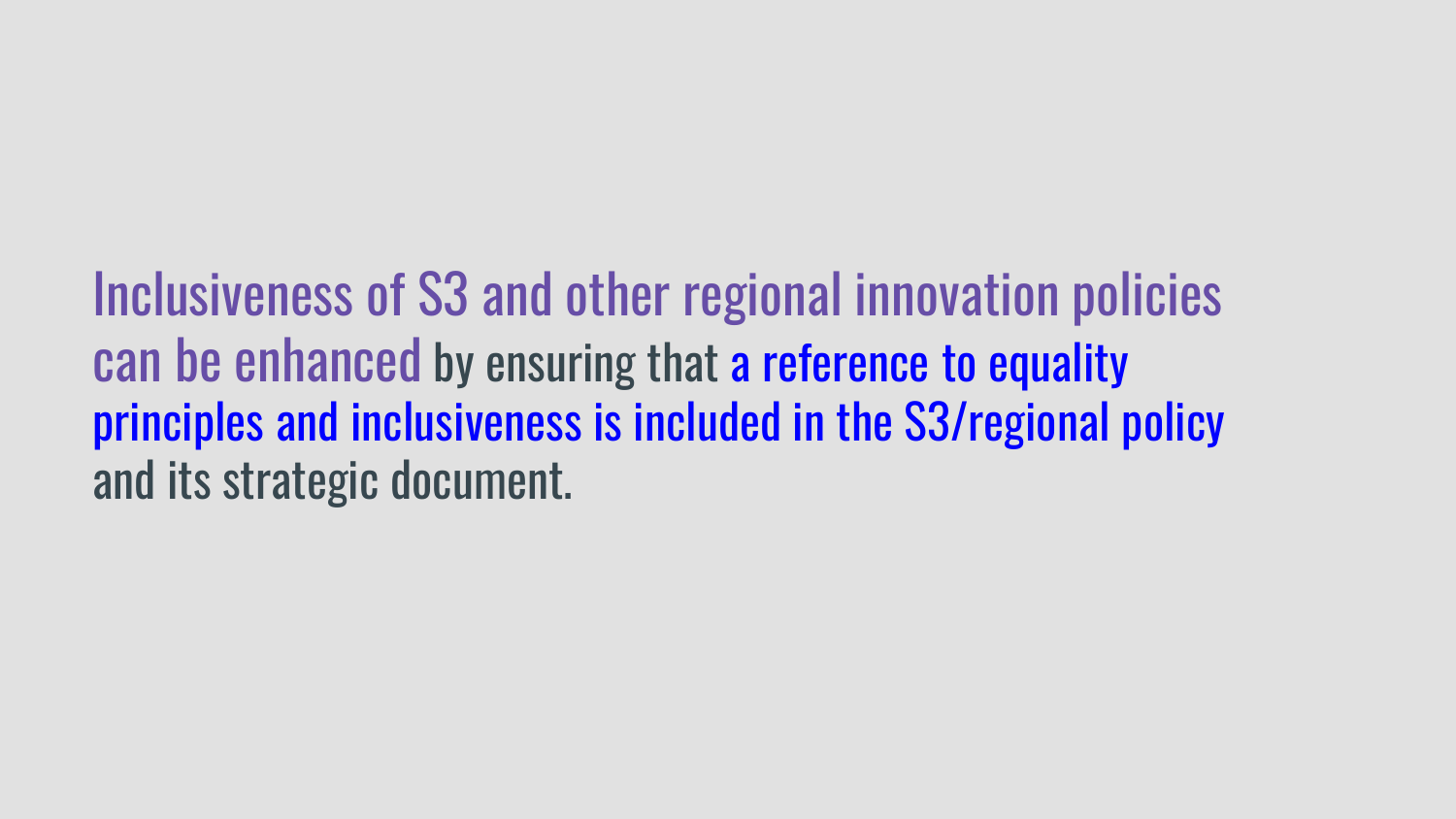Inclusiveness of S3 and other regional innovation policies can be enhanced by ensuring that a reference to equality principles and inclusiveness is included in the S3/regional policy and its strategic document.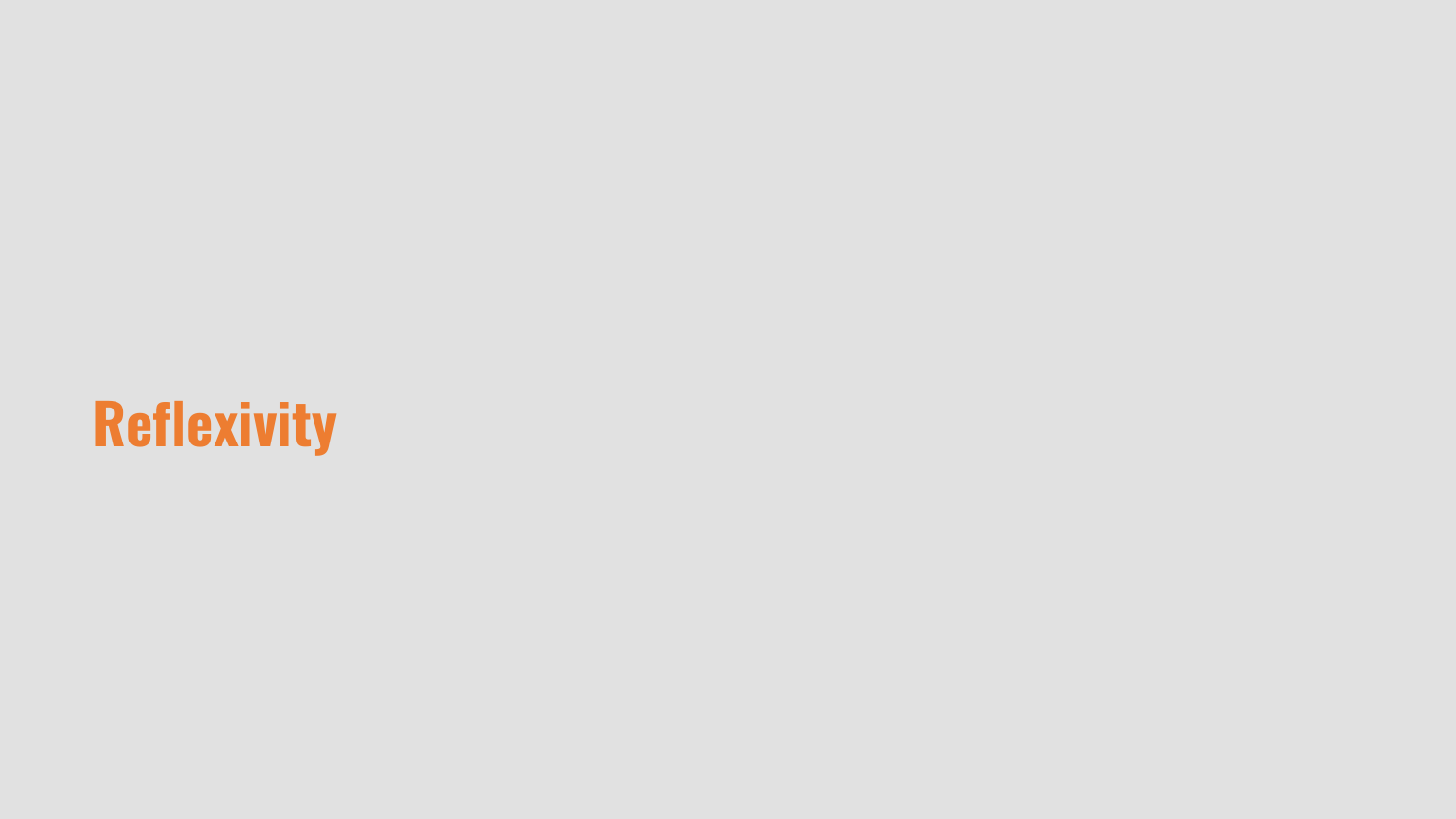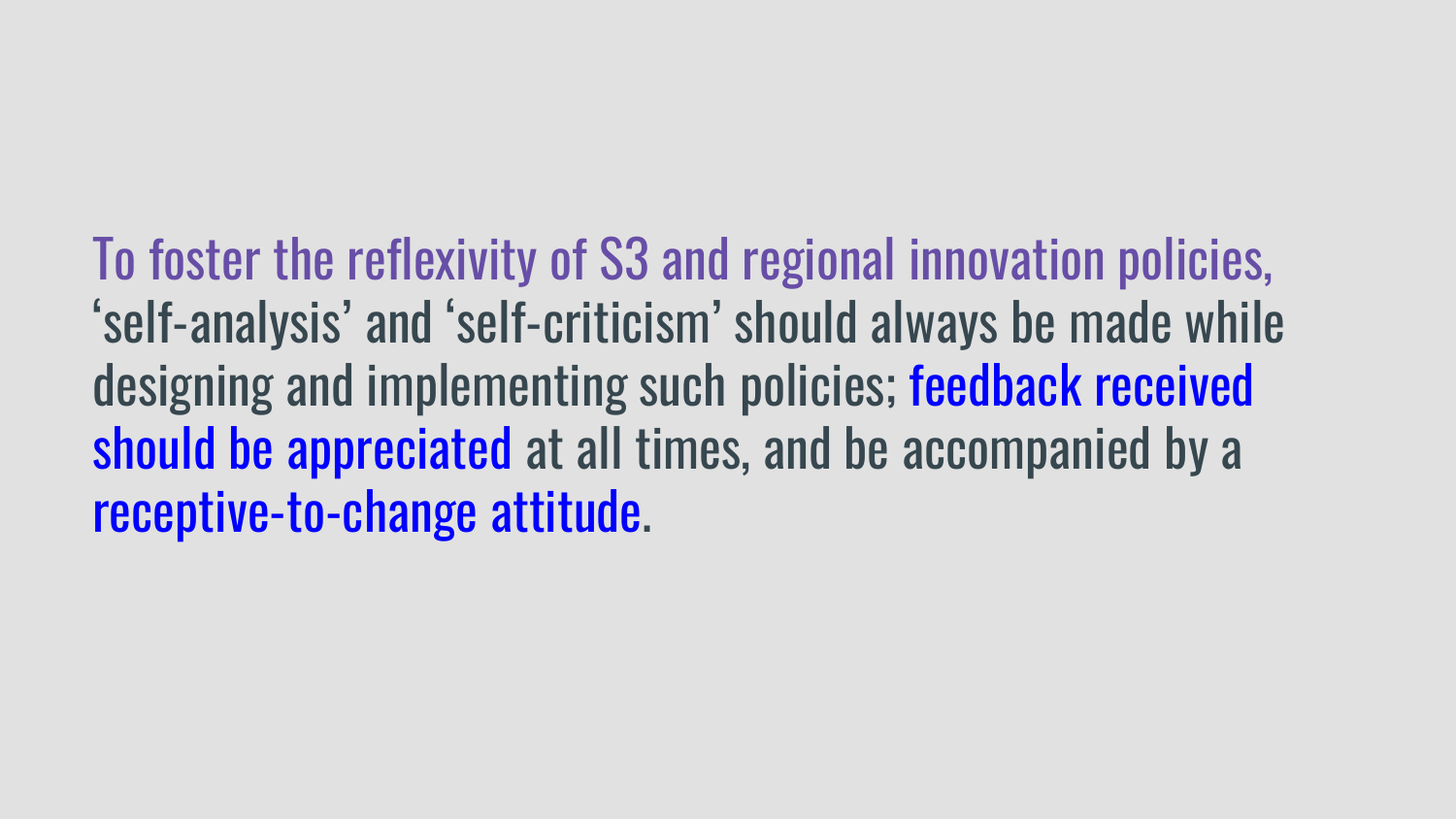To foster the reflexivity of S3 and regional innovation policies, 'self-analysis' and 'self-criticism' should always be made while designing and implementing such policies; feedback received should be appreciated at all times, and be accompanied by a receptive-to-change attitude.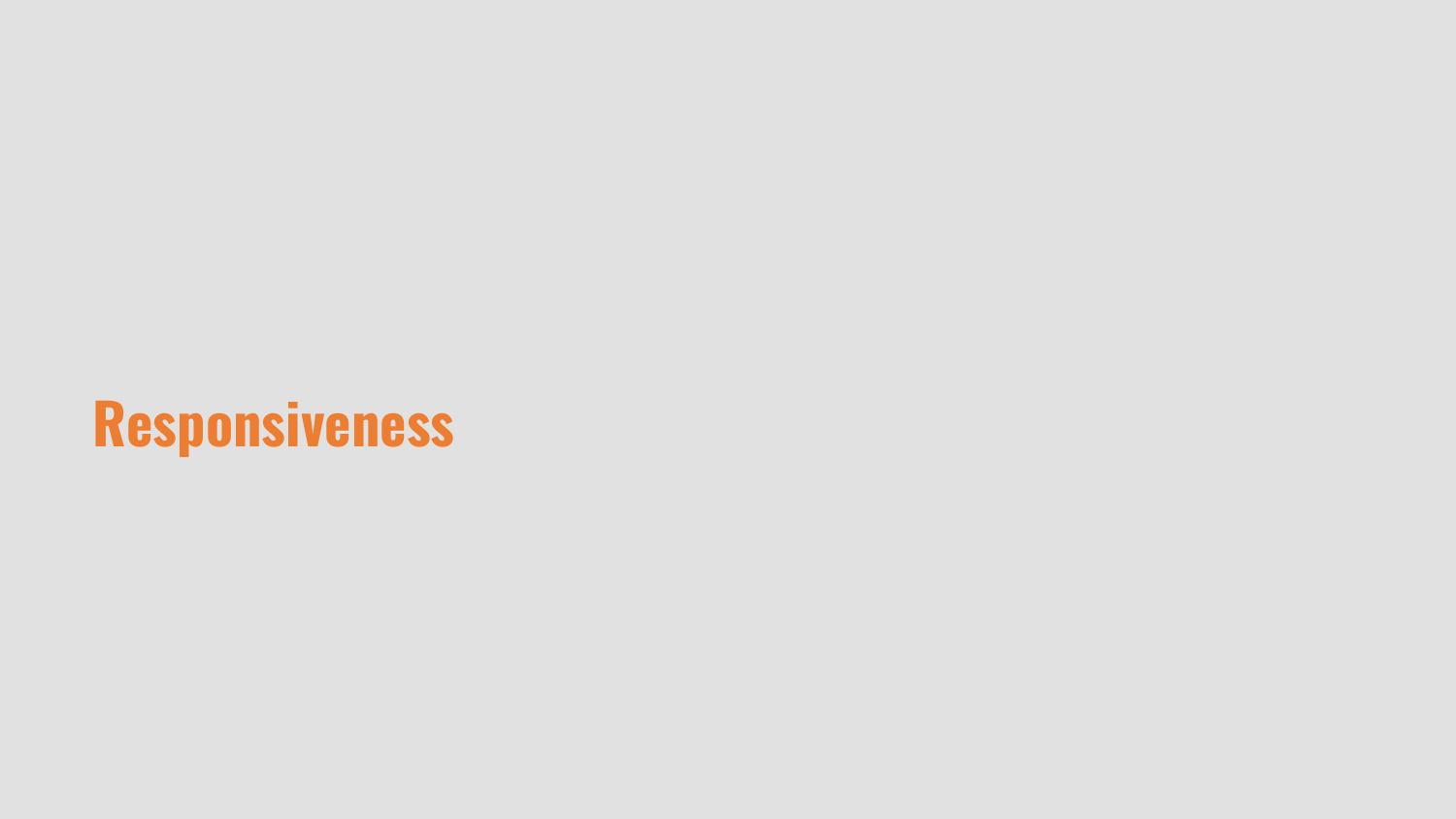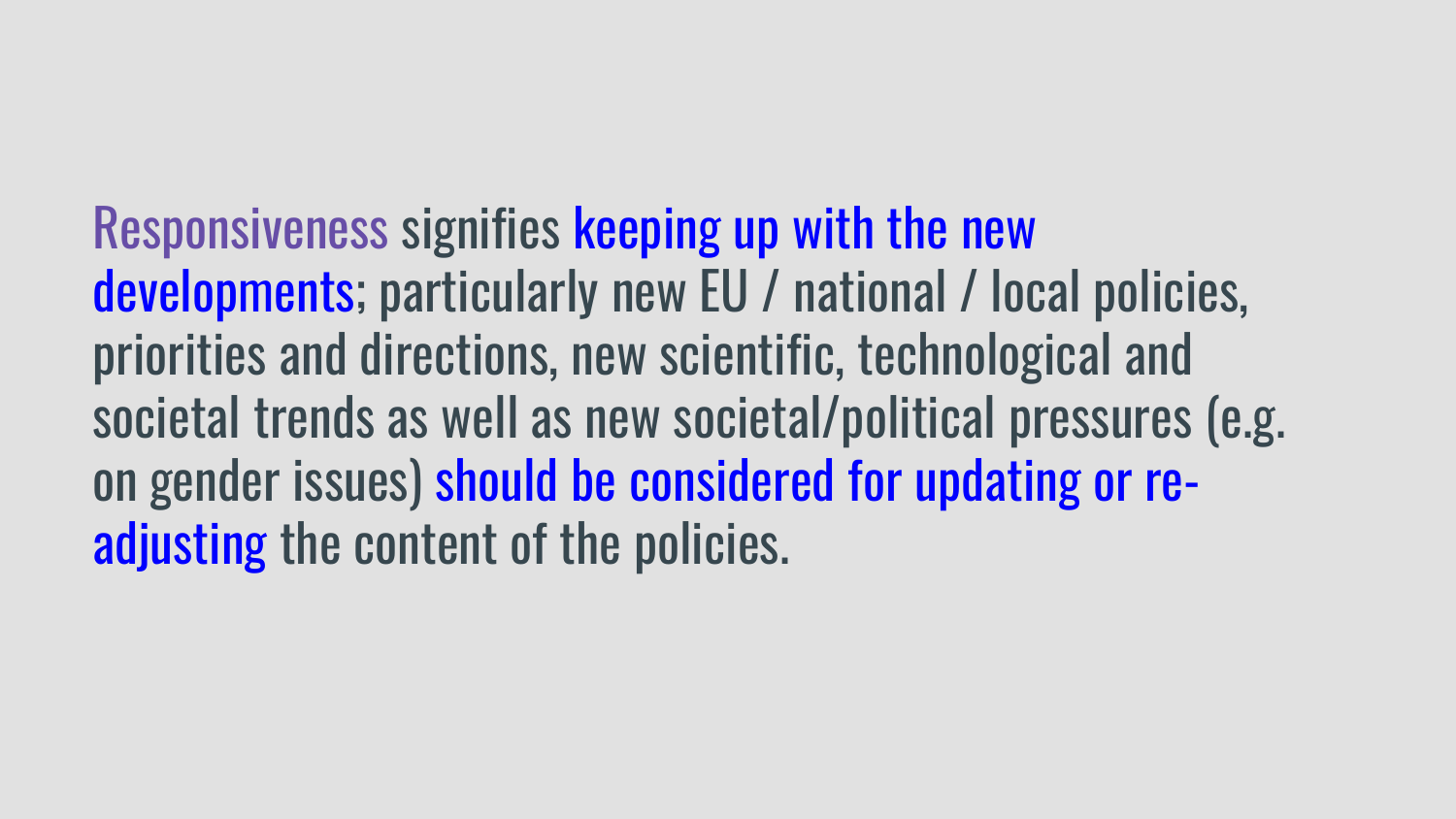Responsiveness signifies keeping up with the new developments; particularly new EU / national / local policies, priorities and directions, new scientific, technological and societal trends as well as new societal/political pressures (e.g. on gender issues) should be considered for updating or readjusting the content of the policies.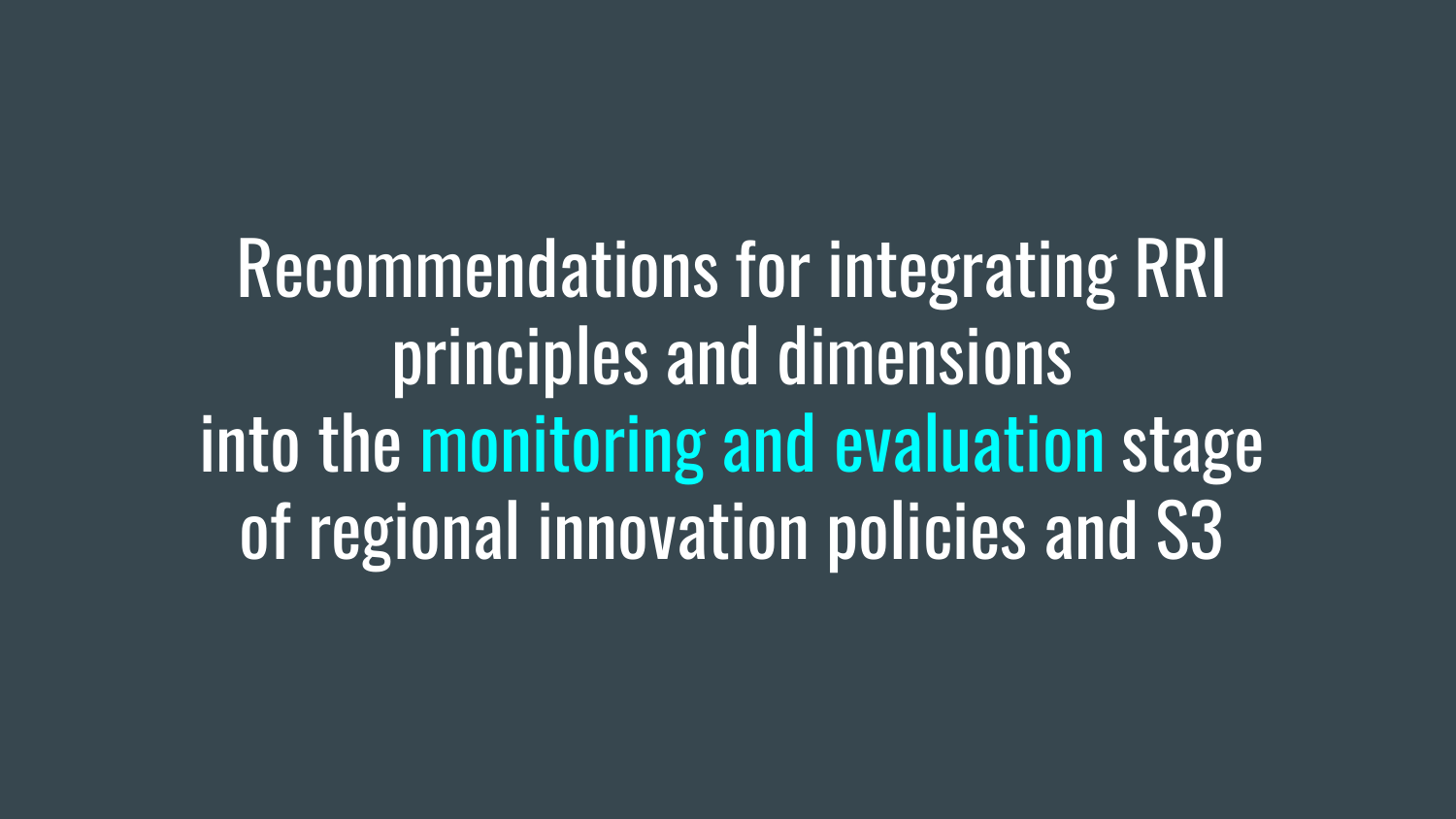Recommendations for integrating RRI principles and dimensions into the monitoring and evaluation stage of regional innovation policies and S3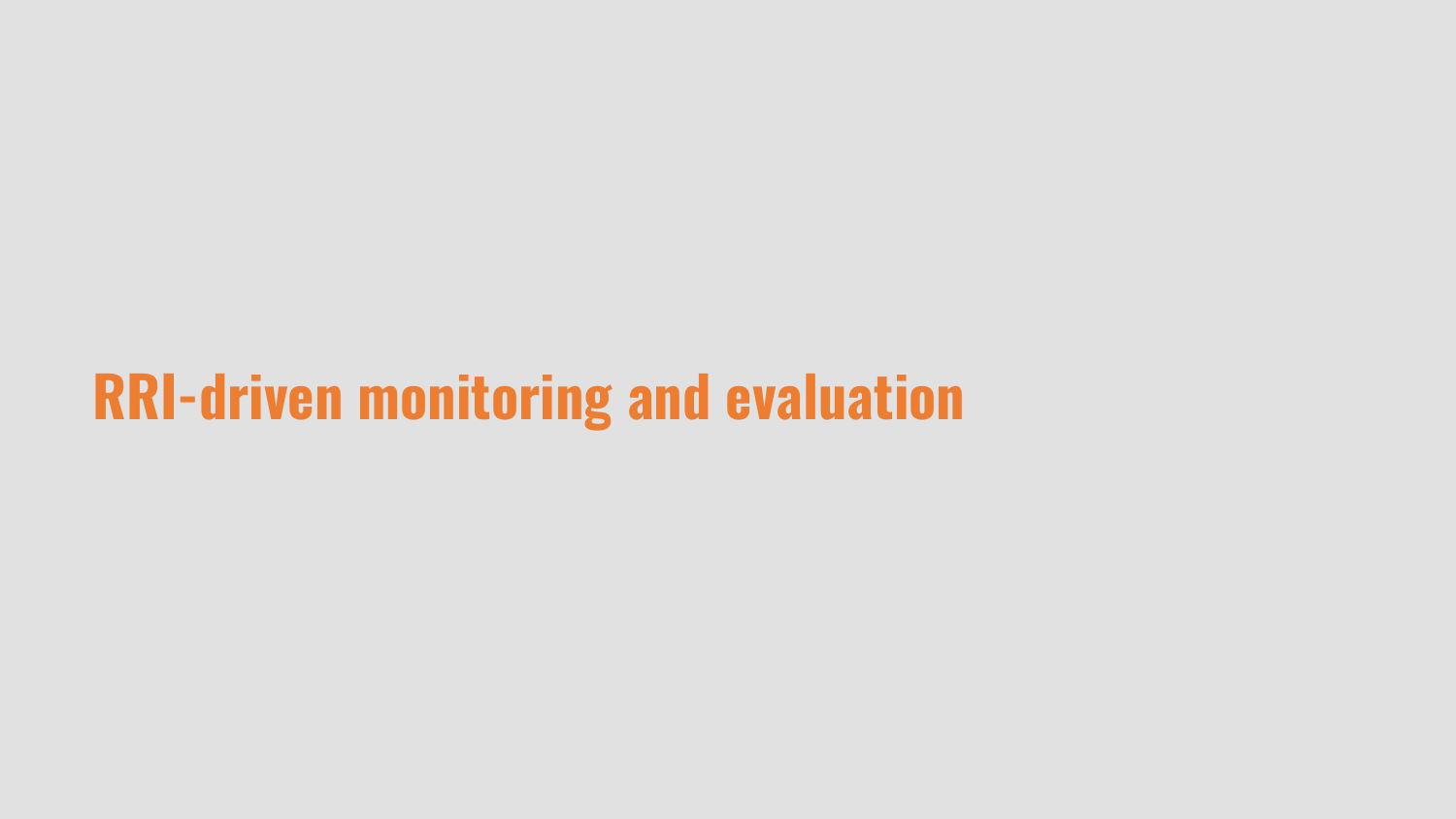### **RRI-driven monitoring and evaluation**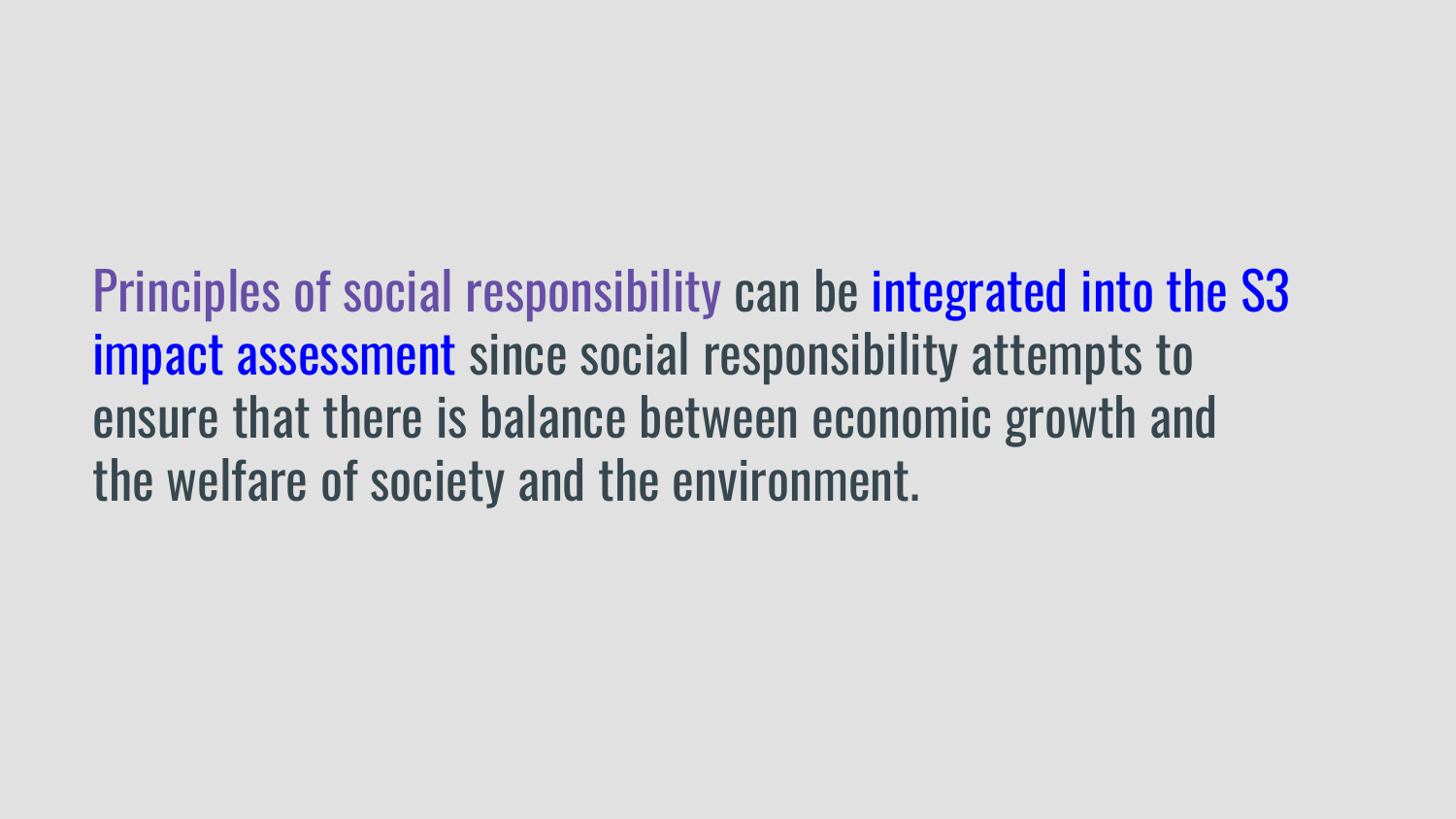Principles of social responsibility can be integrated into the S3 impact assessment since social responsibility attempts to ensure that there is balance between economic growth and the welfare of society and the environment.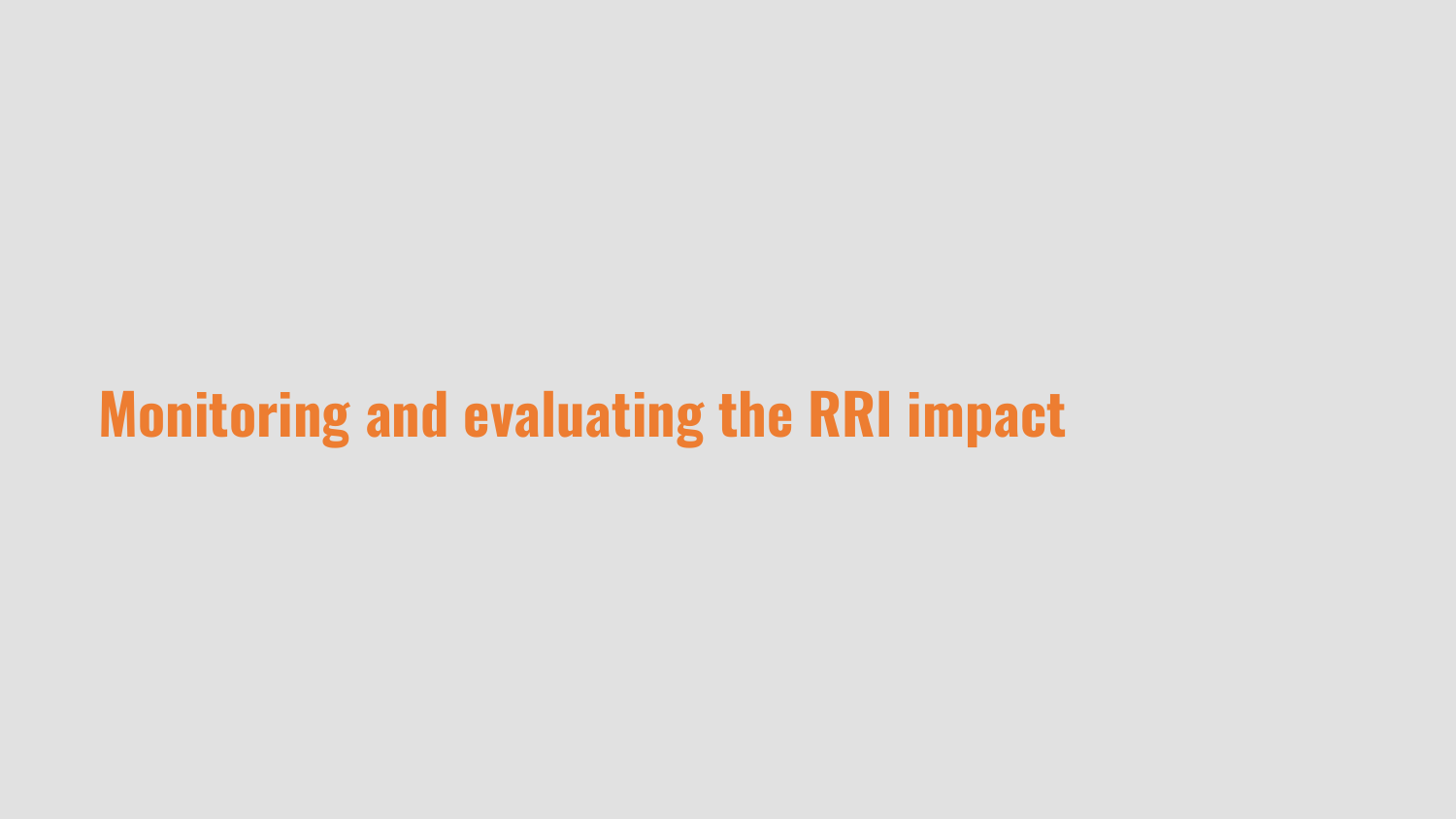#### **Monitoring and evaluating the RRI impact**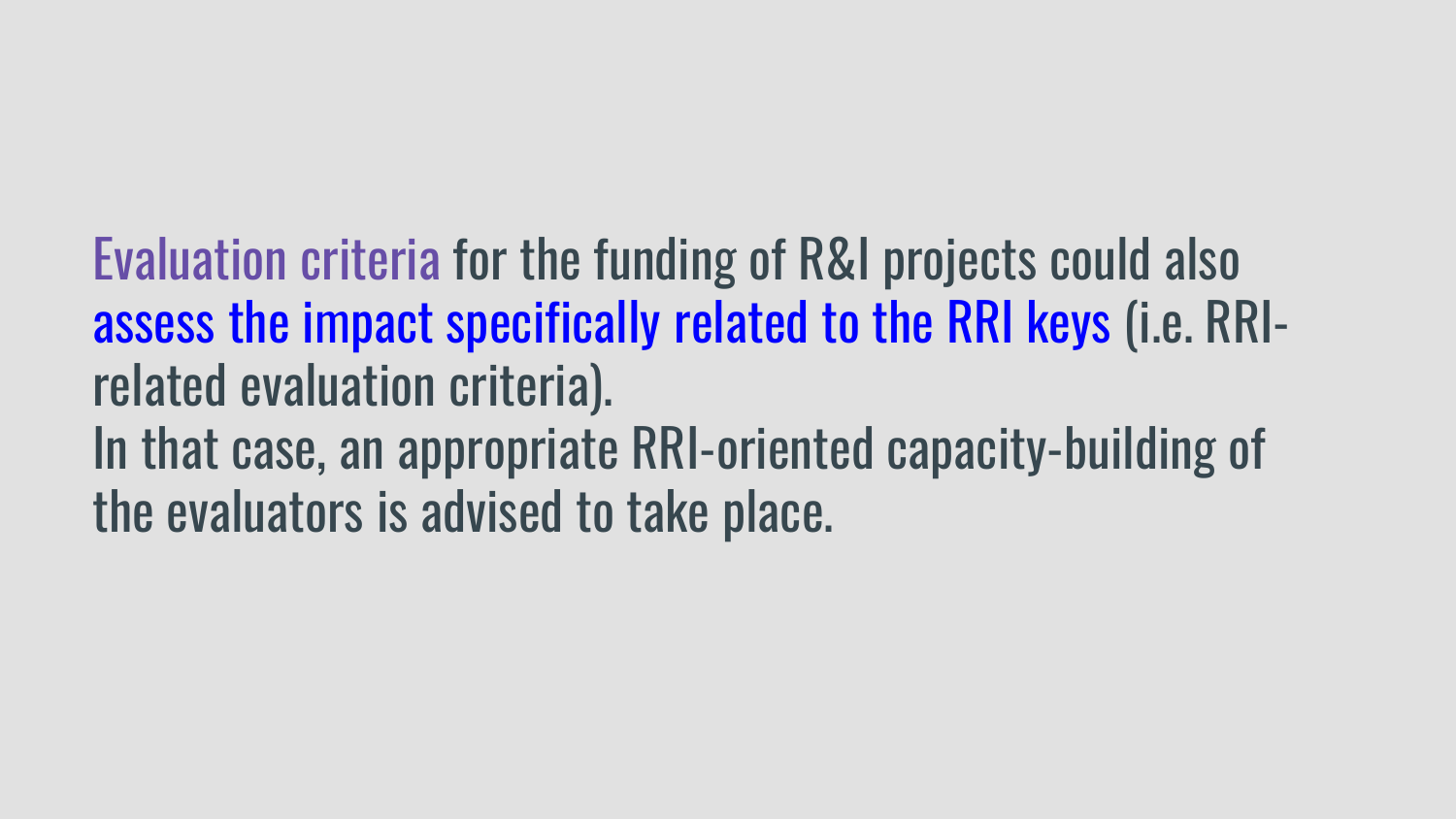Evaluation criteria for the funding of R&I projects could also assess the impact specifically related to the RRI keys (i.e. RRIrelated evaluation criteria). In that case, an appropriate RRI-oriented capacity-building of the evaluators is advised to take place.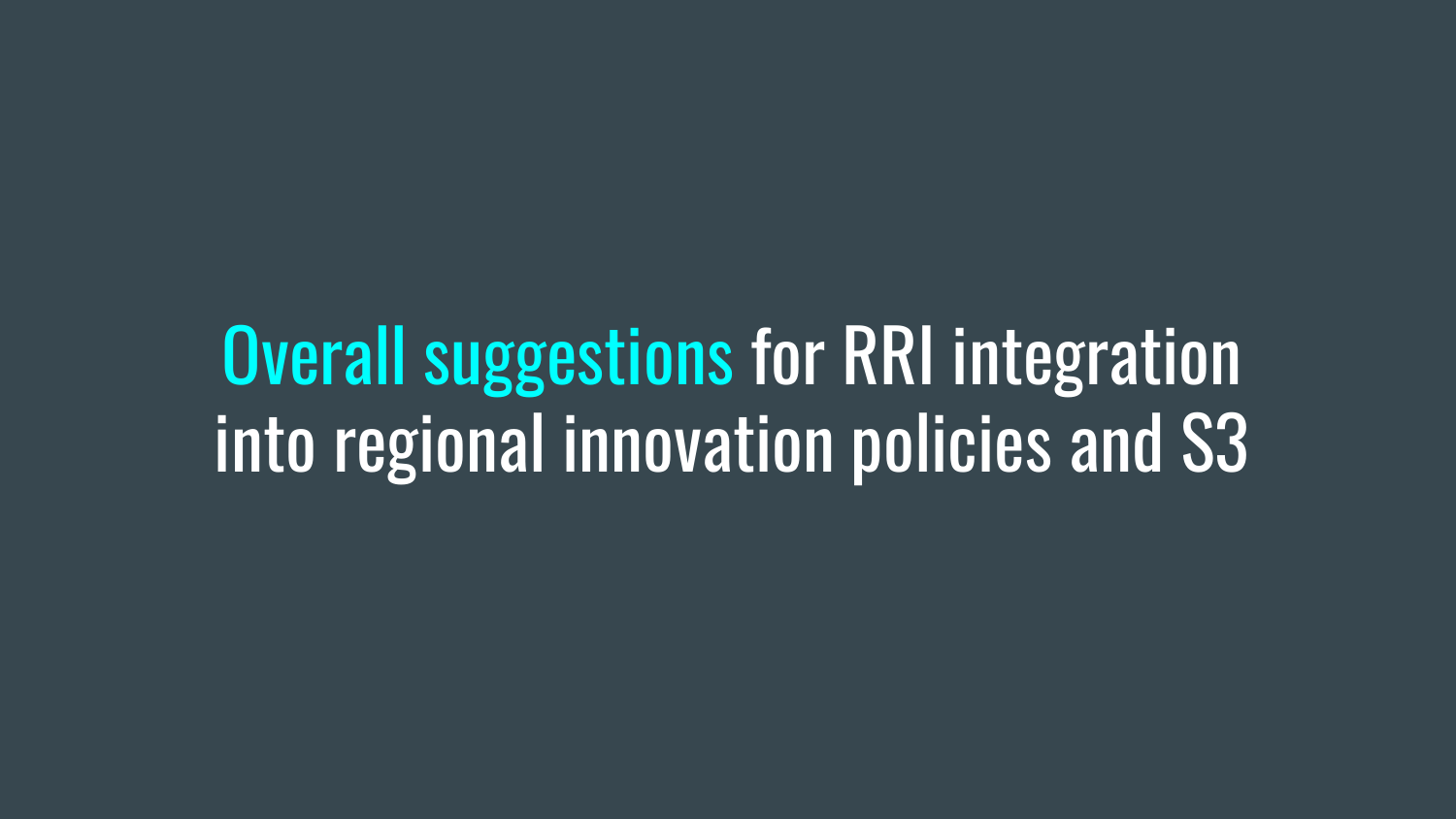## Overall suggestions for RRI integration into regional innovation policies and S3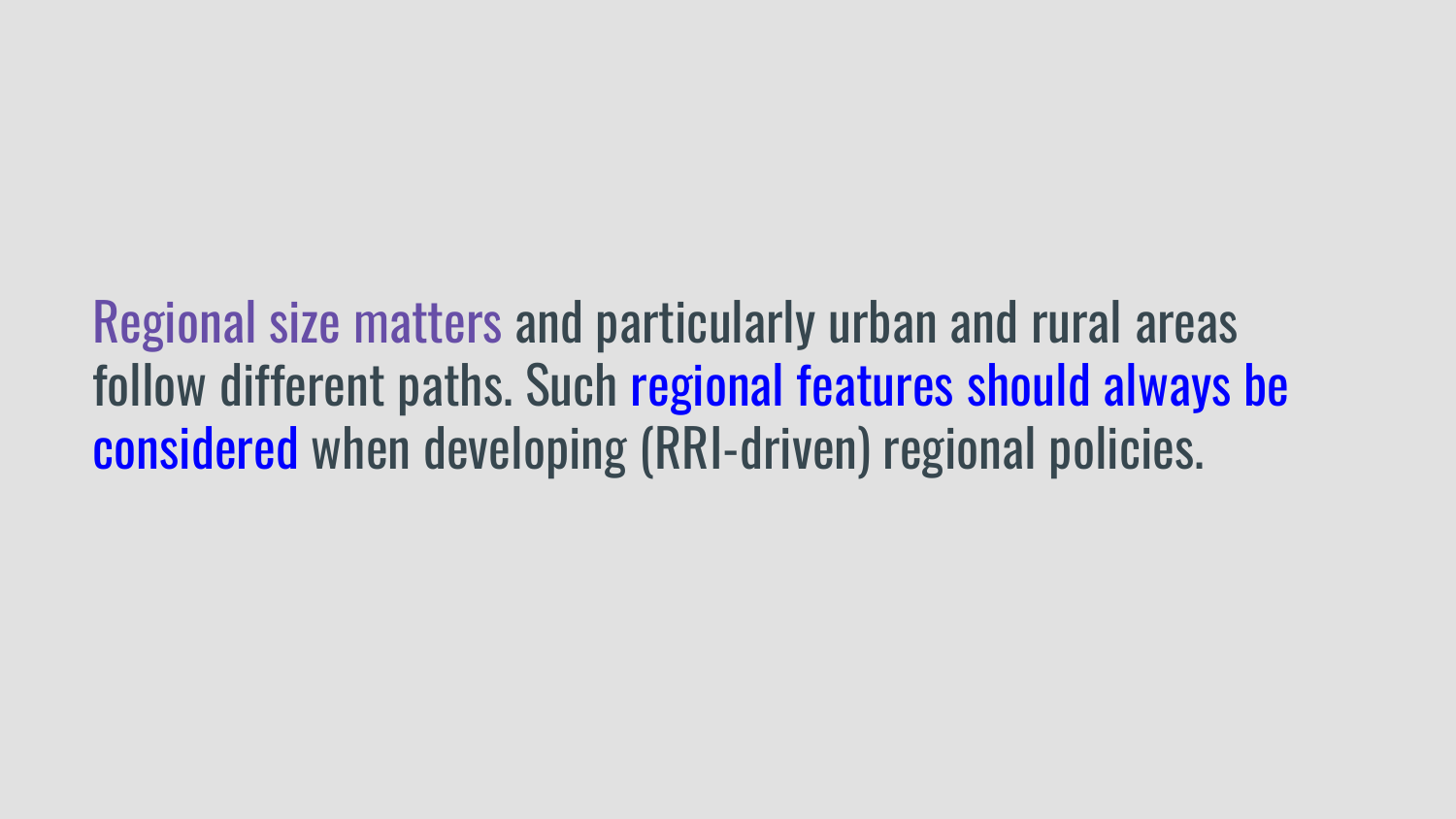Regional size matters and particularly urban and rural areas follow different paths. Such regional features should always be considered when developing (RRI-driven) regional policies.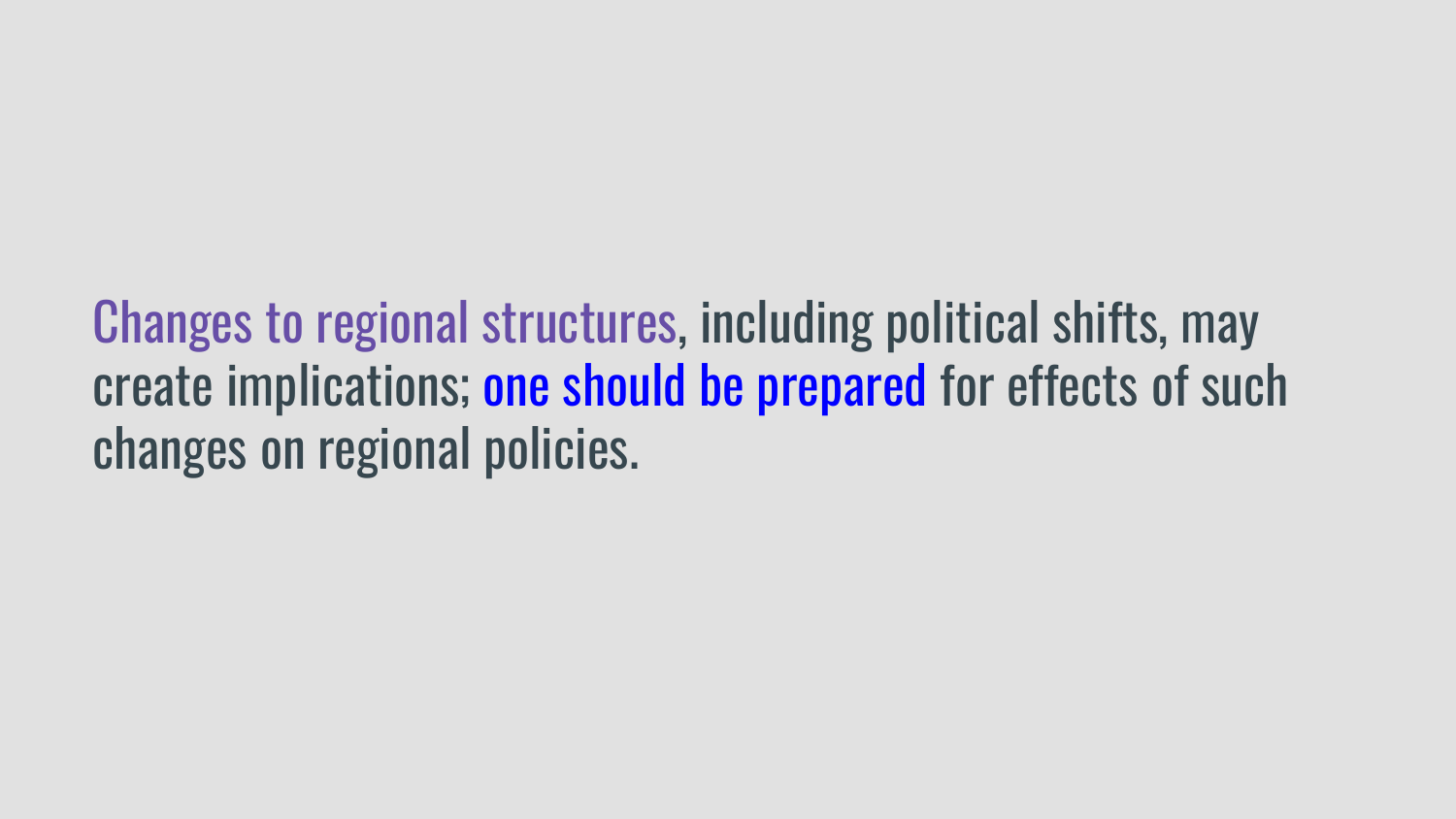Changes to regional structures, including political shifts, may create implications; one should be prepared for effects of such changes on regional policies.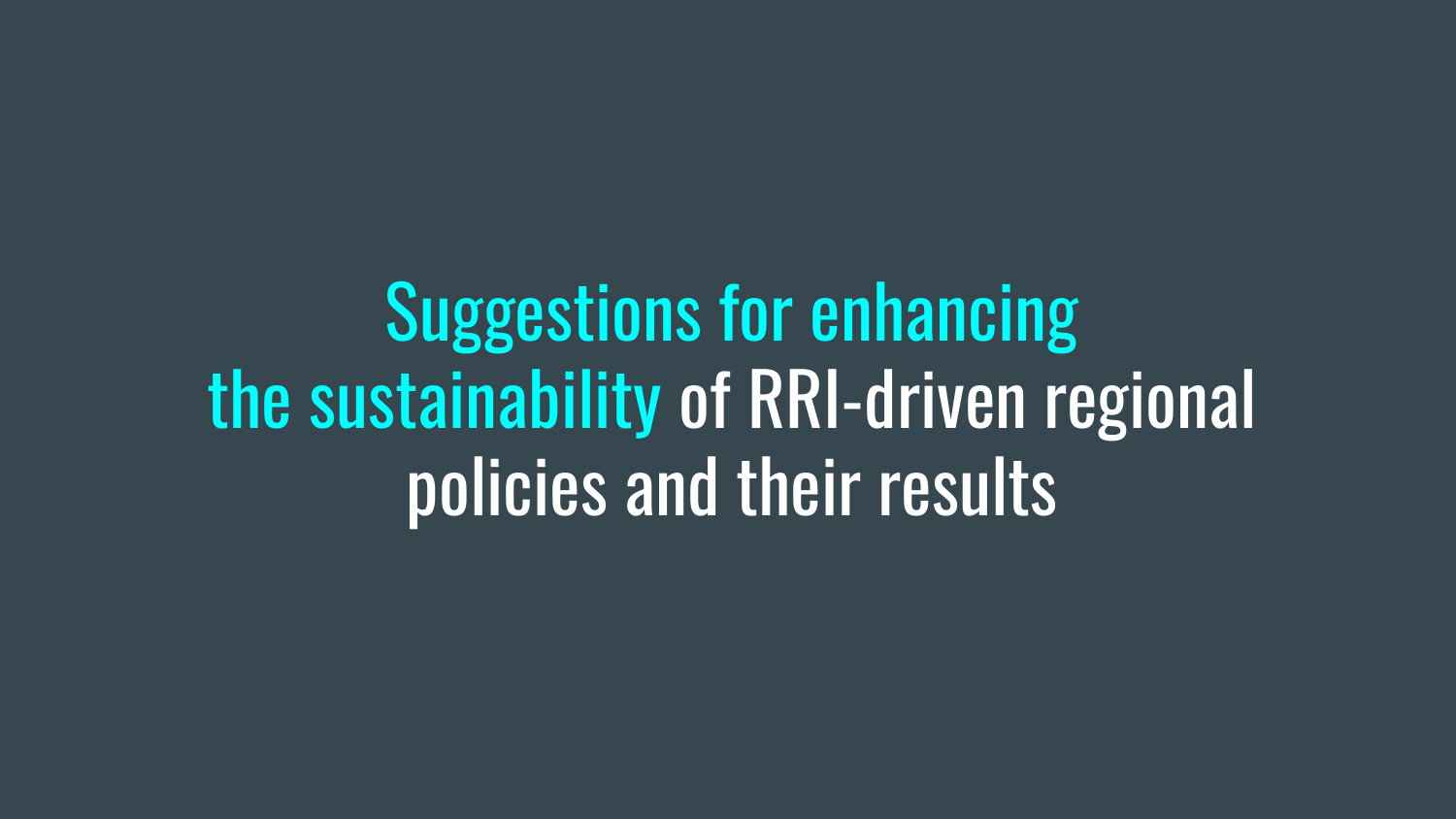Suggestions for enhancing the sustainability of RRI-driven regional policies and their results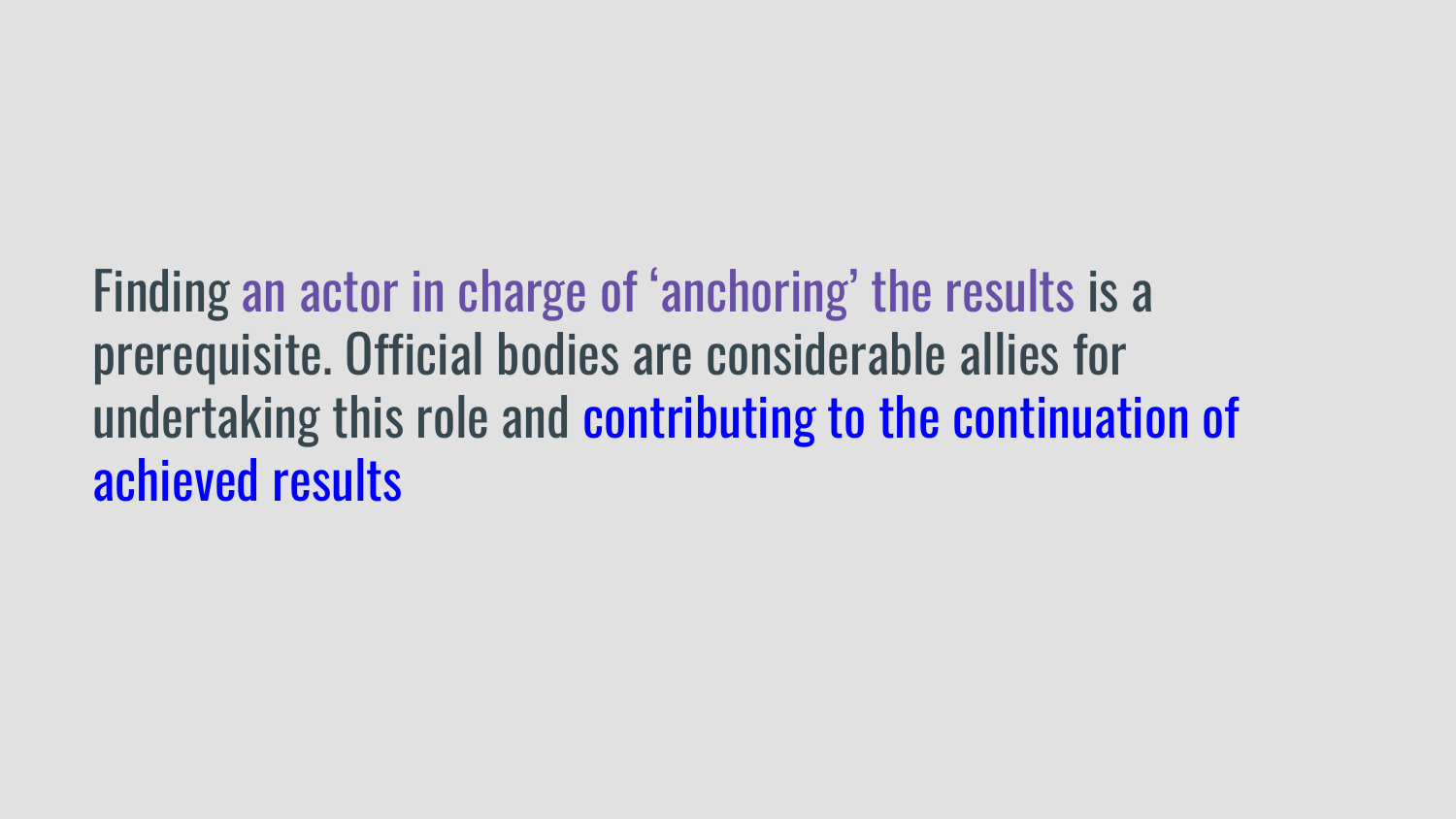Finding an actor in charge of 'anchoring' the results is a prerequisite. Official bodies are considerable allies for undertaking this role and contributing to the continuation of achieved results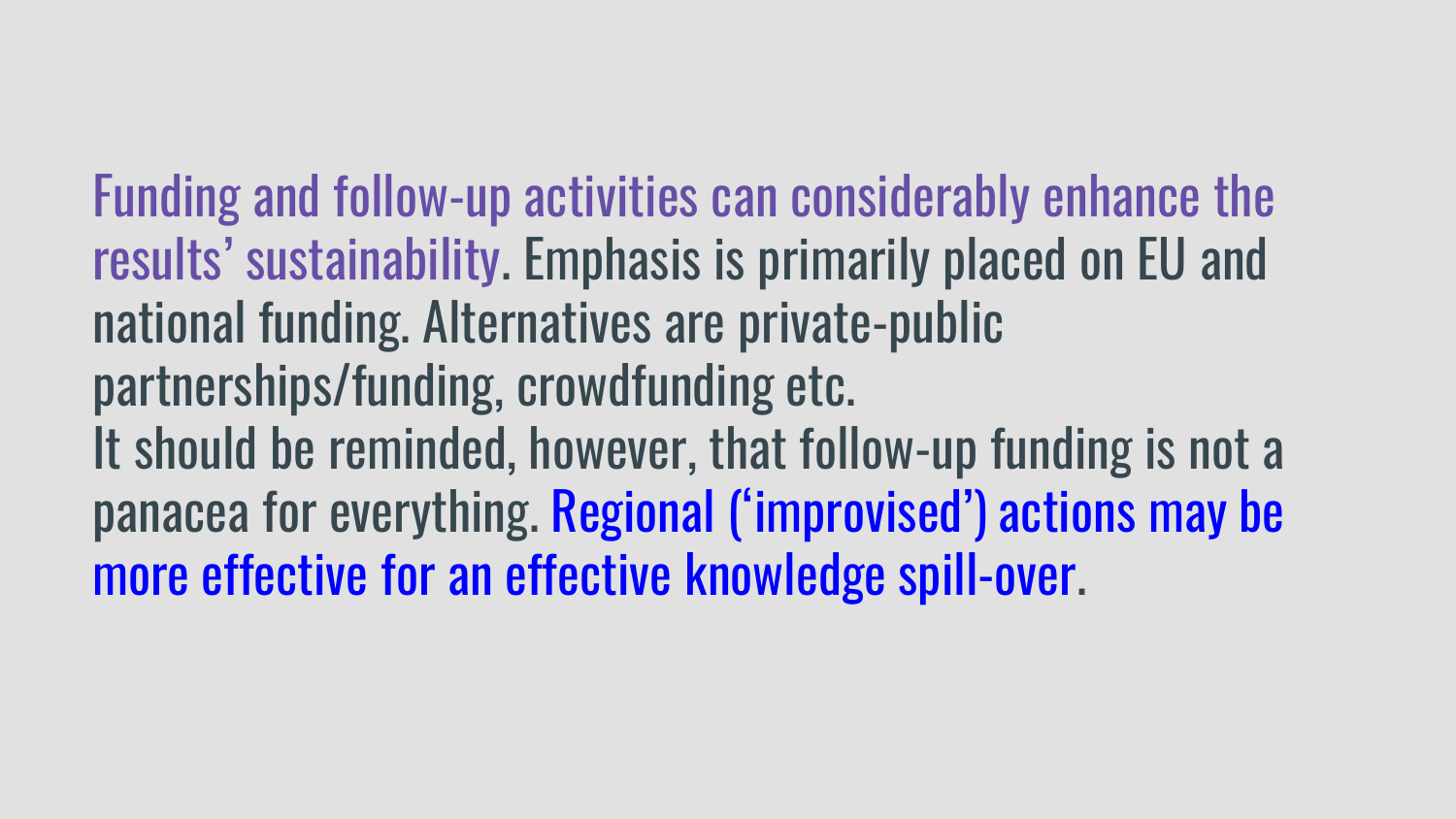Funding and follow-up activities can considerably enhance the results' sustainability. Emphasis is primarily placed on EU and national funding. Alternatives are private-public partnerships/funding, crowdfunding etc. It should be reminded, however, that follow-up funding is not a panacea for everything. Regional ('improvised') actions may be more effective for an effective knowledge spill-over.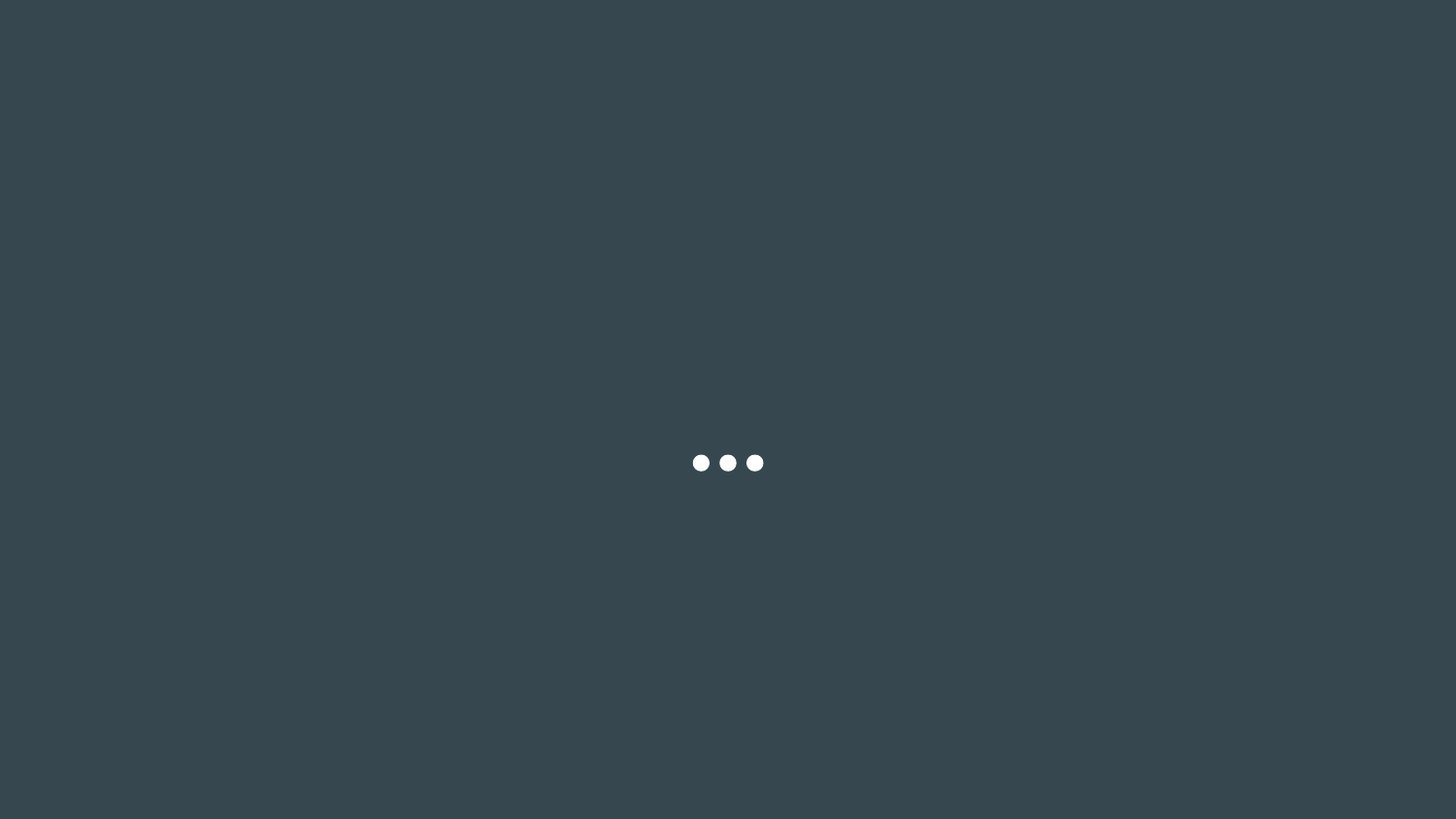$\bullet\bullet\bullet$